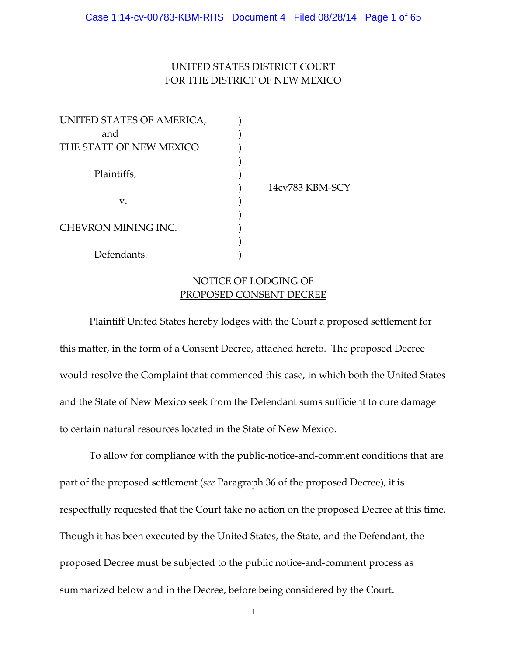### UNITED STATES DISTRICT COURT FOR THE DISTRICT OF NEW MEXICO

| UNITED STATES OF AMERICA, |                 |
|---------------------------|-----------------|
| and                       |                 |
| THE STATE OF NEW MEXICO   |                 |
|                           |                 |
| Plaintiffs,               |                 |
|                           | 14cv783 KBM-SCY |
| v.                        |                 |
|                           |                 |
| CHEVRON MINING INC.       |                 |
|                           |                 |
| Defendants.               |                 |

### NOTICE OF LODGING OF PROPOSED CONSENT DECREE

Plaintiff United States hereby lodges with the Court a proposed settlement for this matter, in the form of a Consent Decree, attached hereto. The proposed Decree would resolve the Complaint that commenced this case, in which both the United States and the State of New Mexico seek from the Defendant sums sufficient to cure damage to certain natural resources located in the State of New Mexico.

To allow for compliance with the public‐notice‐and‐comment conditions that are part of the proposed settlement (*see* Paragraph 36 of the proposed Decree), it is respectfully requested that the Court take no action on the proposed Decree at this time. Though it has been executed by the United States, the State, and the Defendant, the proposed Decree must be subjected to the public notice‐and‐comment process as summarized below and in the Decree, before being considered by the Court.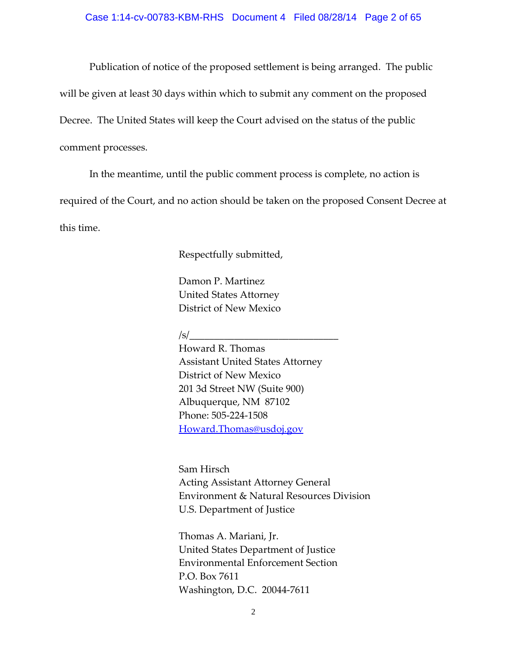Publication of notice of the proposed settlement is being arranged. The public will be given at least 30 days within which to submit any comment on the proposed Decree. The United States will keep the Court advised on the status of the public comment processes.

 In the meantime, until the public comment process is complete, no action is required of the Court, and no action should be taken on the proposed Consent Decree at this time.

Respectfully submitted,

Damon P. Martinez United States Attorney District of New Mexico

 $\sqrt{s}/\sqrt{s}$ 

 Howard R. Thomas Assistant United States Attorney District of New Mexico 201 3d Street NW (Suite 900) Albuquerque, NM 87102 Phone: 505‐224‐1508 Howard.Thomas@usdoj.gov

 Sam Hirsch Acting Assistant Attorney General Environment & Natural Resources Division U.S. Department of Justice

 Thomas A. Mariani, Jr. United States Department of Justice Environmental Enforcement Section P.O. Box 7611 Washington, D.C. 20044‐7611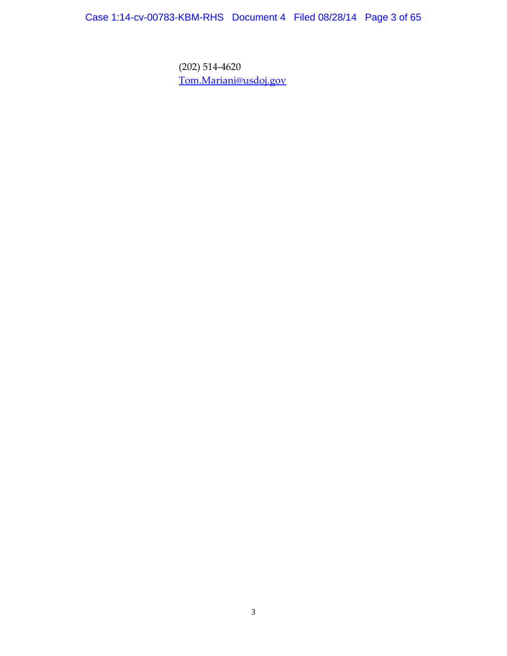Case 1:14-cv-00783-KBM-RHS Document 4 Filed 08/28/14 Page 3 of 65

 (202) 514‐4620 Tom.Mariani@usdoj.gov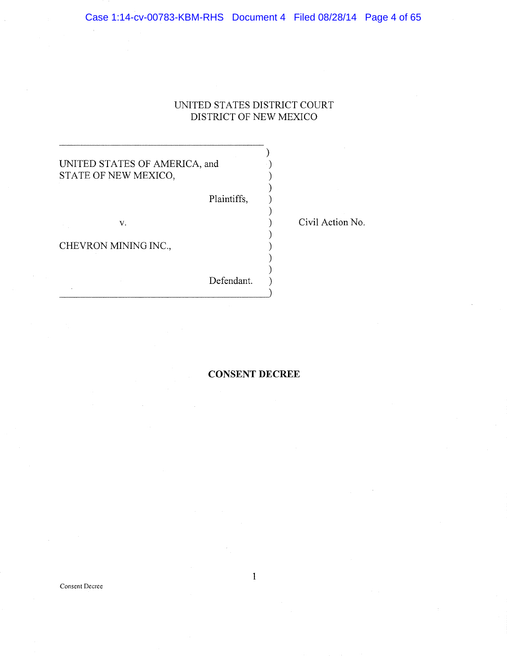### UNITED STATES DISTRICT COURT DISTRICT OF NEW MEXICO

### UNITED STATES OF AMERICA, and STATE OF NEW MEXICO,

Plaintiffs,

v.

CHEVRON MINING INC.,

Defendant.

Civil Action No.

### CONSENT DECREE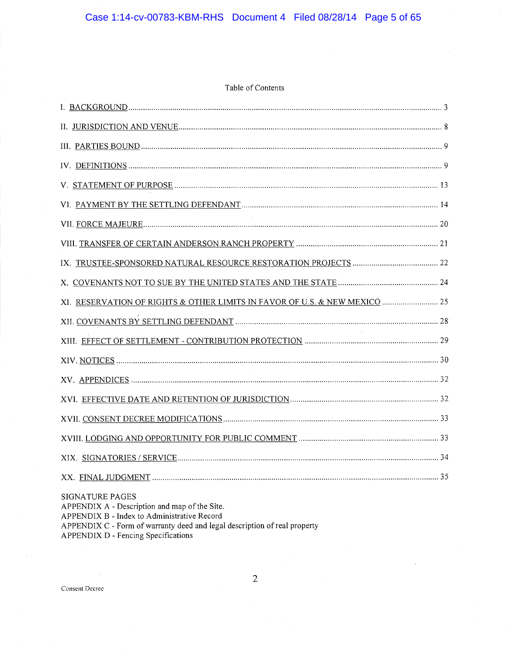### Table of Contents

| XI. RESERVATION OF RIGHTS & OTHER LIMITS IN FAVOR OF U.S. & NEW MEXICO  25                                                                                                                                                          |
|-------------------------------------------------------------------------------------------------------------------------------------------------------------------------------------------------------------------------------------|
|                                                                                                                                                                                                                                     |
|                                                                                                                                                                                                                                     |
|                                                                                                                                                                                                                                     |
|                                                                                                                                                                                                                                     |
|                                                                                                                                                                                                                                     |
|                                                                                                                                                                                                                                     |
|                                                                                                                                                                                                                                     |
|                                                                                                                                                                                                                                     |
|                                                                                                                                                                                                                                     |
| SIGNATURE PAGES<br>APPENDIX A - Description and map of the Site.<br>APPENDIX B - Index to Administrative Record<br>APPENDIX C - Form of warranty deed and legal description of real property<br>APPENDIX D - Fencing Specifications |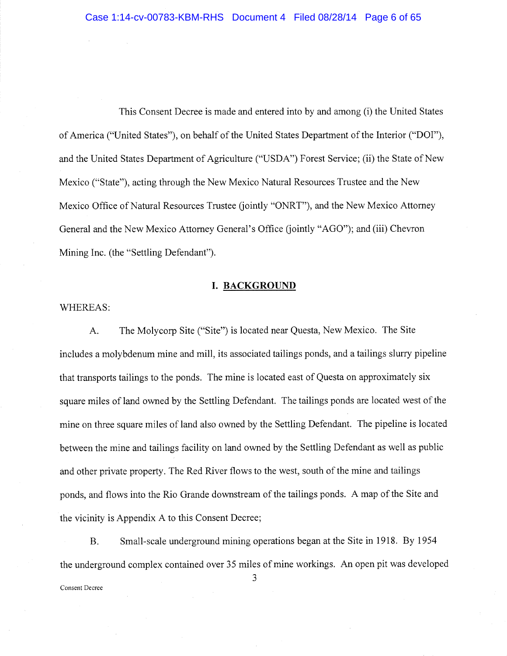This Consent Decree is made and entered into by and among {i) the United States of America ("United States"), on behalf of the United States Department of the Interior ("DOI"), and the United States Department of Agriculture ("USDA") Forest Service; (ii) the State of New Mexico ("State"), acting through the New Mexico Natural Resources Trustee and the New Mexico Office of Natural Resources Trustee (jointly "ONRT"), and the New Mexico Attorney General and the New Mexico Attorney General's Office (jointly "AGO"); and (iii) Chevron Mining Inc. (the "Settling Defendant").

### I. BACKGROUND

### WHEREAS:

A. The Molycorp Site ("Site") is located near Questa, New Mexico. The Site includes a molybdenum mine and mill, its associated tailings ponds, and a tailings slurry pipeline that transports tailings to the ponds. The mine is located east of Questa on approximately six square miles of land owned by the Settling Defendant. The tailings ponds are located west of the mine on three square miles of land also owned by the Settling Defendant. The pipeline is located between the mine and tailings facility on land owned by the Settling Defendant as well as public and other private property. The Red River flows to the west, south of the mine and tailings ponds, and flows into the Rio Grande downstream of the tailings ponds. A map of the Site and the vicinity is Appendix A to this Consent Decree;

B. Small-scale underground mining operations began at the Site in 1918. By 1954 the underground complex contained over 35 miles of mine workings, An open pit was developed

Consent Decree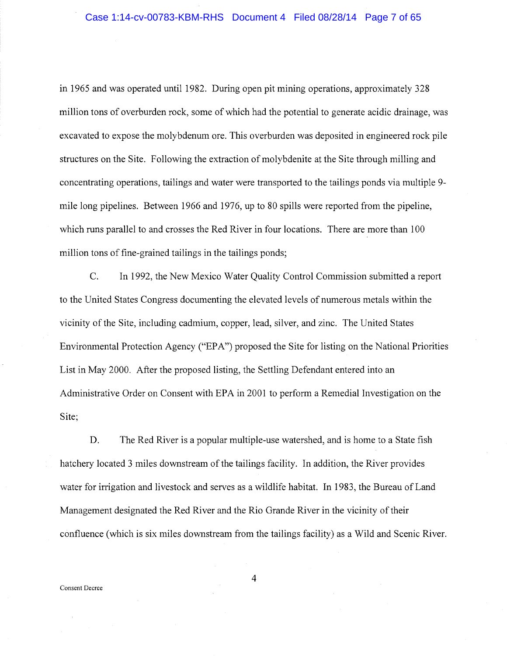in 1965 and was operated until 1982. During open pit mining operations, approximately 328 million tons of overburden rock, some of which had the potential to generate acidic drainage, was excavated to expose the molybdenum ore. This overburden was deposited in engineered rock pile structures on the Site. Following the extraction of molybdenite at the Site through milling and concentrating operations, tailings and water were transported to the tailings ponds via multiple 9 mile long pipelines. Between 1966 and 1976, up to 80 spills were reported from the pipeline, which runs parallel to and crosses the Red River in four locations. There are more than 100 million tons of fine-grained tailings in the tailings ponds;

C. In 1992, the New Mexico Water Quality Control Commission submitted a report to the United States Congress documenting the elevated levels of numerous metals within the vicinity of the Site, including cadmium, copper, lead, silver, and zinc. The United States Environmental Protection Agency ("EPA") proposed the Site for listing on the National Priorities List in May 2000. After the proposed listing, the Settling Defendant entered into an Administrative Order on Consent with EPA in 2001 to perform a Remedial Investigation on the Site;

D. The Red River is a popular multiple-use watershed, and is home to a State fish hatchery located 3 miles downstream of the tailings facility. In addition, the River provides water for irrigation and livestock and serves as a wildlife habitat. In 1983, the Bureau of Land Management designated the Red River and the Rio Grande River in the vicinity of their confluence {which is six miles downstream from the tailings facility) as a Wild and Scenic River.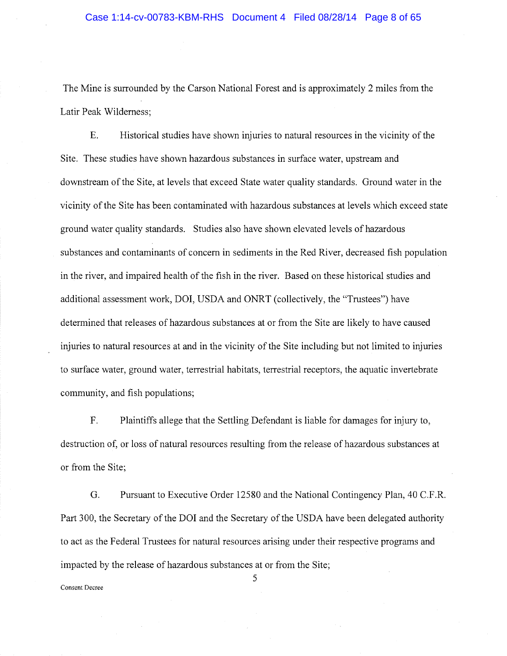The Mine is surrounded by the Carson National Forest and is approximately Z miles from the Latin Peak Wilderness;

E. Historical studies have shown injuries to natural resources in the vicinity of the Site. These studies have shown hazardous substances in surface water, upstream and downstream of the Site, at levels that exceed. State water quality standards. Ground water in the vicinity of the Site has been contaminated with hazardous substances at levels which exceed state ground water quality standards. Studies also have shown elevated levels of hazardous substances and contaminants of concern in sediments in the Red River, decreased fish population in the river, and impaired health of the fish in the river. Based on these historical studies and additional assessment work, DOI, USDA and ONRT (collectively, the "Trustees") have determined that releases of hazardous substances at or from the Site are likely to have caused injuries to natural resources at and in the vicinity of the Site including but not limited to injuries to surface water, ground water, terrestrial habitats, terrestrial receptors, the aquatic invertebrate community, and fish populations;

F. Plaintiffs allege that the Settling. Defendant is liable for damages for injury to, destruction of, or loss of natural resources resulting from the release of hazardous substances at or from the Site;

G. Pursuant to Executive Order 12580 and the National Contingency Plan, 40 C.F.R. Part 300, the Secretary of the DOI and the Secretary of the USDA have been delegated authority to act as the Federal Trustees for natural resources arising under their respective programs and impacted by the release of hazardous substances at or from the Site;

Consent Decree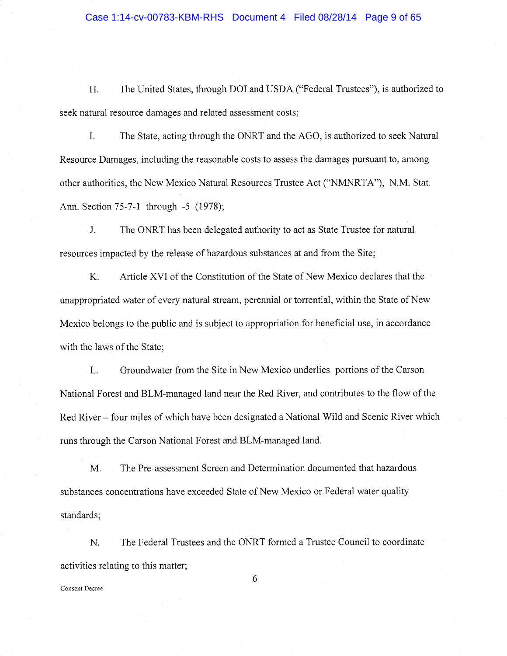### Case 1:14-cv-00783-KBM-RHS Document 4 Filed 08/28/14 Page 9 of 65

H. The United States, through DOI and USDA {"Federal Trustees"), is authorized to seek natural resource damages and related assessment costs;

The State, acting through the ONRT and the AGO, is authorized to seek Natural I. Resource Damages, including the reasonable costs to assess the damages pursuant to, among other authorities, the New Mexico Natural Resources Trustee Act ("NMNRTA"), N.M. Stat. Ann. Section 75-7-1 through -5 (1978);

J. The ONRT has been delegated authority to act as State Trustee for natural resources impacted by the release of hazardous substances at and from the Site;

K. Article XVI of the Constitution of the State of New Mexico declares that the unappropriated water of every natural stream, perennial or torrential, within the State of New Mexico belongs to the public and is subject to appropriation for beneficial use, in accordance with the laws of the State;

L. Groundwater from the Site in New Mexico underlies portions of the Carson National Forest and BLM-managed land near the Red River, and contributes to the flow of the Red River —four miles of which have been designated a National Wild and Scenic River which runs through the Carson National Forest and BLM-managed land.

M. The Pre-assessment Screen and Determination documented that hazardous substances concentrations have exceeded State of New Mexico or Federal water quality standards;

N. The Federal Trustees and the ONRT formed a Trustee Council to coordinate activities relating to this matter;

Consent Decree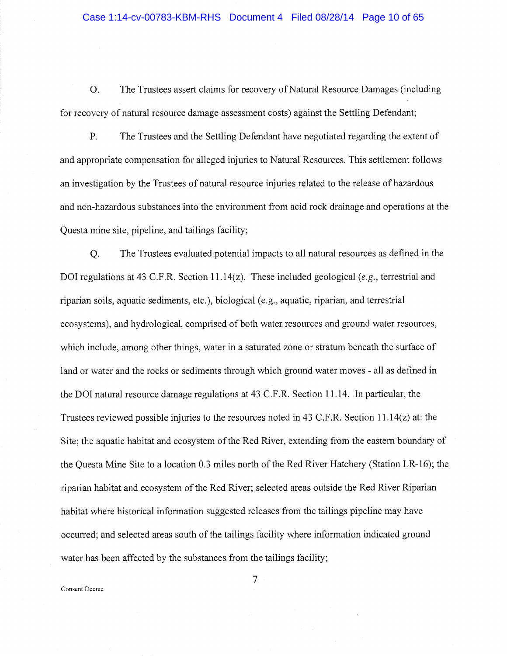O. The Trustees assert claims for recovery of Natural Resource Damages (including for recovery of natural resource damage assessment costs) against the Settling Defendant;

P. The Trustees and the Settling Defendant have negotiated regarding the extent of and appropriate compensation for alleged injuries to Natural Resources. This settlement follows an investigation by the Trustees of natural resource injuries related to the release of hazardous and non-hazardous substances into the environment from acid rock drainage and operations at the Questa mine site, pipeline, and tailings facility;

Q. The Trustees evaluated potential impacts to all natural resources as defined in the DOI regulations at 43 C.F.R. Section 11.14(z). These included geological (e.g., terrestrial and riparian soils, aquatic sediments, etc.), biological (e.g., aquatic, riparian, and terrestrial ecosystems), and hydrological, comprised of both water resources and ground water resources, which include, among other things, water in a saturated zone or stratum beneath the surface of land or water and the rocks or sediments through which ground water moves - all as defined in the DOI natural resource damage regulations at 43 C.F.R. Section 11.14. In particular, the Trustees reviewed possible injuries to the resources noted in 43 C.F.R. Section 11.14(z) at: the Site; the aquatic habitat and ecosystem of the Red River, extending from the eastern boundary of the Questa Mine Site to a location 0.3 miles north of the Red River Hatchery (Station LR-16); the riparian habitat and ecosystem of the Red River; selected areas outside the Red River Riparian habitat where historical information suggested releases from the tailings pipeline may have occurred; and selected areas south of the tailings facility where information indicated ground water has been affected by the substances from the tailings facility;

Consent Decree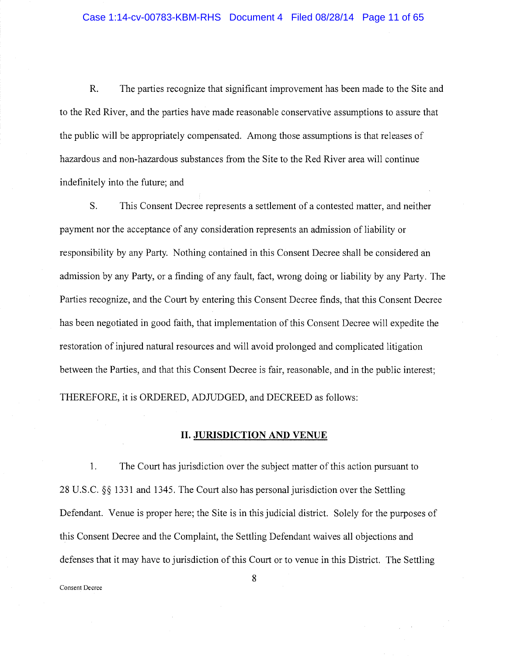R. The parties recognize that significant improvement has been made to the Site and to the Red River, and the parties have made reasonable conservative assumptions to assure that the public will be appropriately compensated. Among those assumptions is that releases of hazardous and non-hazardous substances from the Site to the Red River area will continue indefinitely into the future; and

S. This Consent Decree represents a settlement of a contested matter, and neither payment nor the acceptance of any consideration represents an admission of liability or responsibility by any Party. Nothing contained in this Consent Decree shall be considered an admission by any Party, or a finding of any fault, fact, wrong doing or liability by any Party. The Parties recognize, and the Court by entering this Consent Decree finds, that this Consent Decree has been negotiated in good faith, that implementation of this Consent Decree will expedite the restoration of injured natural resources and will avoid prolonged and complicated litigation between the Parties, and that this Consent Decree is fair, reasonable, and in the public interest; THEREFORE, it is ORDERED, ADJUDGED, and DECREED as follows:

### II. JURISDICTION AND VENUE

 $1.$ The Court has jurisdiction over the subject matter of this action pursuant to 28 U.S.C. §§ 1331 and 1345. The Court also has personal jurisdiction. over the Settling Defendant. Venue is proper here; the Site is in this judicial district. Solely for the purposes of this Consent Decree and the Complaint, the Settling Defendant waives all objections and defenses that it may have to jurisdiction of this Court or to venue in this District. The Settling

Consent Decree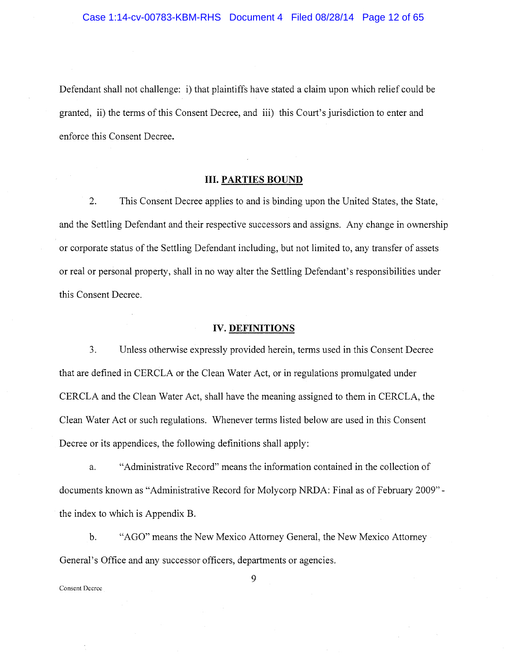Defendant shall not challenge: i) that plaintiffs have stated a claim upon which relief could be granted, ii) the terms of this Consent Decree, and iii) this Court's jurisdiction to enter and enforce this Consent Decree.

### III. PARTIES BOUND

2. This Consent Decree applies to and is binding upon the United States, the State, and the Settling Defendant and their respective successors and assigns. Any change in ownership or corporate status of the Settling Defendant including, but not limited to, any transfer of assets or real or personal property, shall in no way alter the Settling Defendant's responsibilities under this Consent Decree.

### IV. DEFINITIONS

3. Unless otherwise expressly provided herein, terms used in this Consent Decree that are defined in CERCLA or the Clean Water Act, or in regulations promulgated under CERCLA and the Clean Water Act, shall have the meaning assigned to them in CERCLA, the Clean Water Act or such regulations. Whenever terms listed below are used in this Consent Decree or its appendices, the following definitions shall apply:

a. "Administrative Record" means the information contained in the collection of documents known as "Administrative Record for Molycorp NRDA: Final as of February 2009" the index to which is Appendix B.

b. "AGO" means the New Mexico Attorney General, the New Mexico Attorney General's Office and any successor officers, departments or agencies.

Consent Decree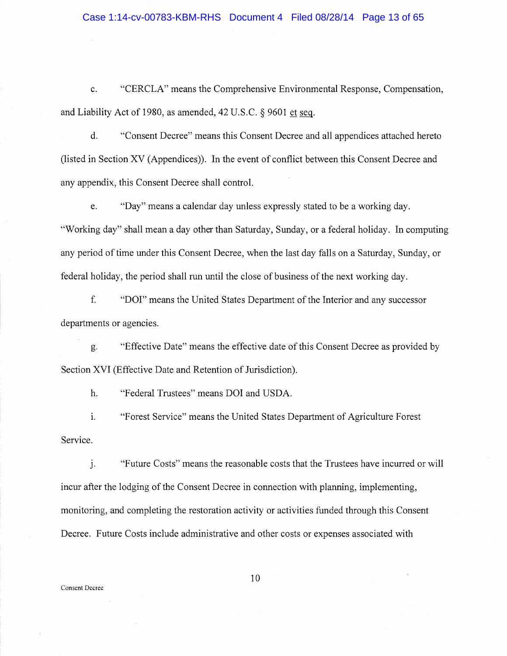### Case 1:14-cv-00783-KBM-RHS Document 4 Filed 08/28/14 Page 13 of 65

"CERCLA" means the Comprehensive Environmental Response, Compensation,  $c.$ and Liability Act of 1980, as amended,  $42$  U.S.C. § 9601 et seq.

d. "Consent Decree" means this Consent Decree and all appendices attached hereto (listed in Section XV (Appendices)). In the event of conflict between this Consent Decree and any appendix, this Consent Decree shall control.

e. "Day" means a calendar day unless expressly stated to be a working day. "Working day" shall mean a day other than Saturday, Sunday, or a federal holiday. In computing any period of time under this Consent Decree, when the last day falls on a Saturday, Sunday, or federal holiday, the period shall run until the close of business of the next working day.

f. "DOI" means the United States Department of the Interior and any successor departments or agencies.

g. "Effective Date" means the effective date of this Consent Decree as provided by Section XVI (Effective Date and Retention of Jurisdiction).

h. "Federal Trustees" means DOI and USDA.

 $i$ . "Forest Service" means the United States Department of Agriculture Forest Service.

 $\mathbf{i}$ . "Future Costs" means the reasonable costs that the Trustees have incurred or will incur after the lodging of the Consent Decree in connection with planning, implementing, monitoring, and completing the restoration activity or activities funded through this Consent Decree. Future Costs include administrative and other costs or expenses associated with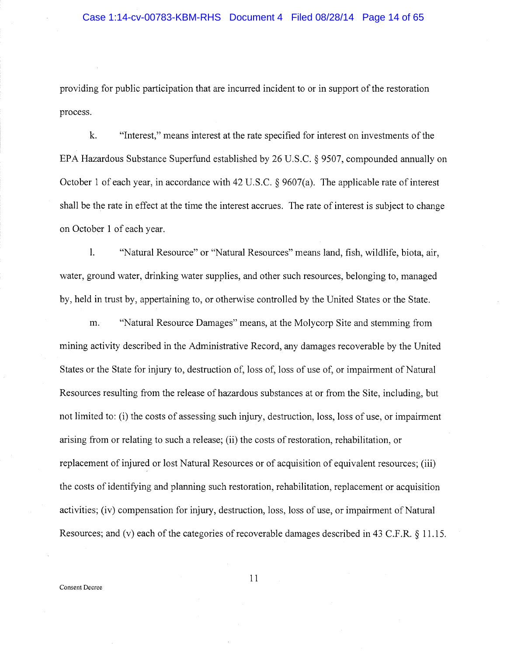providing for public participation that are incurred incident to or in support of the restoration process.

k. "Interest," means interest at the rate specified for interest on investments of the EPA Hazardous Substance Superfund established by 26 U.S.C. § 9507, compounded annually on October 1 of each year, in accordance with 42 U.S.C. § 9607(a). The applicable rate of interest shall be the rate in effect at the time the interest accrues. The rate of interest is subject to change on October 1 of each year.

 $\mathbf{l}$ . "Natural Resource" or "Natural Resources" means land, fish, wildlife, biota, air, water, ground water, drinking water supplies, and other such resources, belonging to, managed by, held in trust by, appertaining to, or otherwise controlled by the United States or the State.

m. "Natural Resource Damages" means, at the Molycorp Site and stemming from mining activity described in the Administrative Record, any damages recoverable by the United States or the State for injury to, destruction of, loss of, loss of use of, or impairment of Natural Resources resulting from the release of hazardous substances at or from the Site, including, but not limited to: (i) the costs of assessing such injury, destruction, loss, loss of use, or impairment arising from or relating to such a release; (ii) the costs of restoration, rehabilitation, or replacement of injured or lost Natural Resources or of acquisition of equivalent resources; (iii) the costs of identifying and planning such restoration, rehabilitation, replacement or acquisition activities; (iv) compensation for injury, destruction, loss, loss of use, or impairment of Natural Resources; and (v) each of the categories of recoverable damages described in 43 C.F.R. § 11.15.

Consent Decree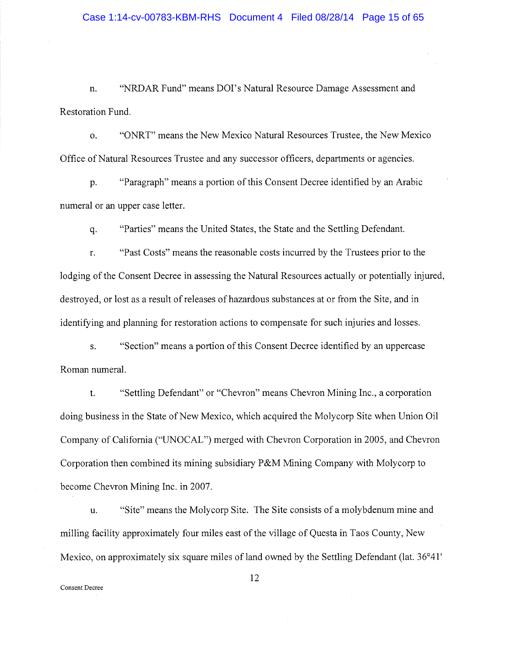n. "NRDAR Fund" means DOI's Natural Resource Damage Assessment and Restoration Fund.

o. "ONRT" means the New Mexico Natural Resources Trustee, the New Mexico Office of Natural Resources Trustee and any successor officers, departments or agencies.

p. "Paragraph" means a portion of this Consent Decree identified by an Arabic numeral or an upper case letter.

q. "Parties" means the United States, the State and the Settling Defendant.

r. "Past Costs" means the reasonable costs incurred by the Trustees prior to the lodging of the Consent Decree in assessing the Natural Resources actually or potentially injured, destroyed, or lost as a result of releases of hazardous substances at or from the Site, and in identifying and planning for restoration actions to compensate for such injuries and losses.

s. "Section" means a portion of this Consent Decree identified by an uppercase Roman numeral.

t. "Settling Defendant" or "Chevron" means Chevron Mining Inc., a corporation doing business in the State of New Mexico, which acquired the Molycorp Site when Union Oil Company of California ("UNOCAL") merged with Chevron Corporation in 2005, and Chevron Corporation then combined its mining subsidiary P&M Mining Company with Molycorp to become Chevron Mining Inc. in 2007.

u. "Site" means the Molycorp Site. The Site consists of a molybdenum mine and milling facility approximately four miles east of the village of Questa in Taos County, New Mexico, on approximately six square miles of land owned by the Settling Defendant (lat. 36°41'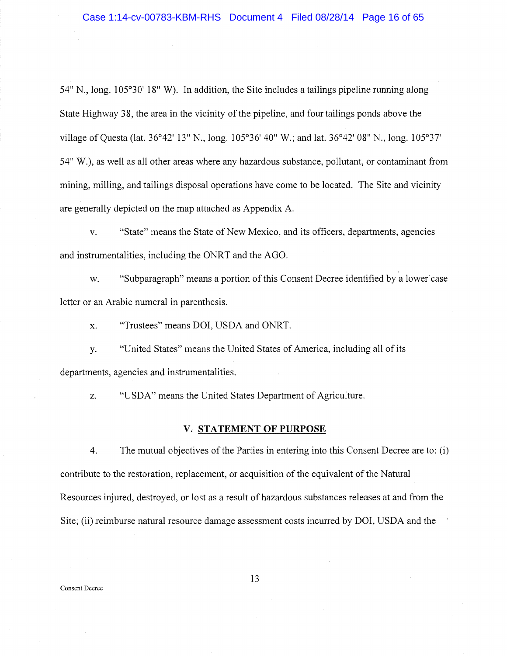54" N., long.  $105^{\circ}30'$  18" W). In addition, the Site includes a tailings pipeline running along State Highway 38, the area in the vicinity of the pipeline, and four tailings ponds above the village of Questa (lat. 3b°42' 13" N., long. 105°36' 40" W.; and lat. 36°42' 08" N., long. 105°37' 54" W.), as well as all other areas where any hazardous substance, pollutant, or contaminant from mining, milling, and tailings disposal operations have come to be located. The Site and vicinity are generally depicted on the map attached as Appendix A.

v. "State" means the State of New Mexico, and its officers, departments, agencies and instrumentalities, including the ONRT and the AGO.

w. "Subparagraph" means a portion of this Consent Decree identified by a lower case letter or an Arabic numeral in parenthesis.

x, "Trustees" means DOI, USDA and ONRT.

y. "United States" means the United States of America, including all of its departments, agencies and instrumentalities.

z. "USDA" means the United States Department of Agriculture.

### V. STATEMENT OF PURPOSE

4. The mutual objectives of the Parties in entering into this Consent Decree are to: (i) contribute to the restoration, replacement, or acquisition of the equivalent of the Natural Resources injured, destroyed, or lost as a result of hazardous substances releases at and from the Site; (ii) reimburse natural resource damage assessment costs incurred by DOI, USDA and the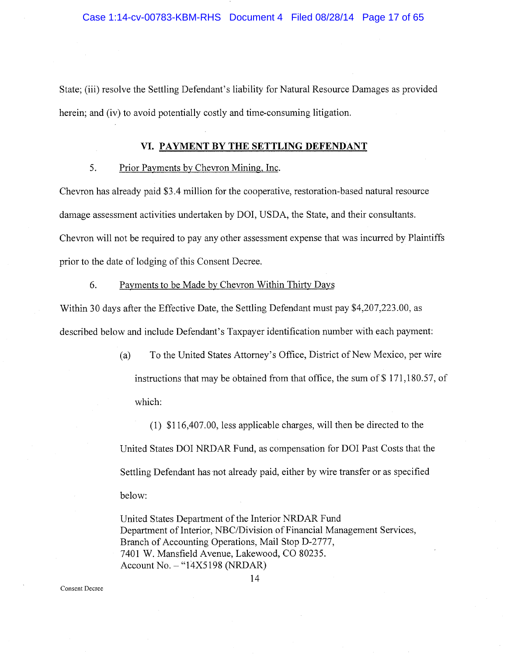State; (iii) resolve the Settling Defendant's liability for Natural Resource Damages as provided herein; and (iv) to avoid potentially costly and time-consuming litigation.

### VI. PAYMENT BY THE SETTLING DEFENDANT

### 5. Prior Payments by Chevron Mining, Inc.

Chevron has already paid \$3.4 million for the cooperative, restoration-based natural resource damage assessment activities undertaken by DOI, USDA, the State, and their consultants. Chevron will not be required to pay any other assessment expense that was incurred by Plaintiffs prior to the date of lodging of this Consent Decree.

### 6. Payments to be Made by Chevron Within Thirty Days

Within 30 days after the Effective Date, the Settling Defendant must pay \$4,207,223.00, as described below and include Defendant's Taxpayer identification number with each payment:

> (a) To the United States Attorney's Office, District of New Mexico, per wire instructions that may be obtained from that office, the sum of \$ 171,180.57, of which:

 $(1)$  \$116,407.00, less applicable charges, will then be directed to the United States DOI NRDAR Fund, as compensation for DOI Past Costs that the Settling Defendant has not already paid, either by wire transfer or as specified below:

United States Department of the Interior NRDAR Fund Department of Interior, NBC/Division of Financial Management Services, Branch of Accounting Operations, Mail Stop D-2777, 7401 W. Mansfield Avenue, Lakewood, CO \$0235. Account No. — "14X5198 (NRDAR)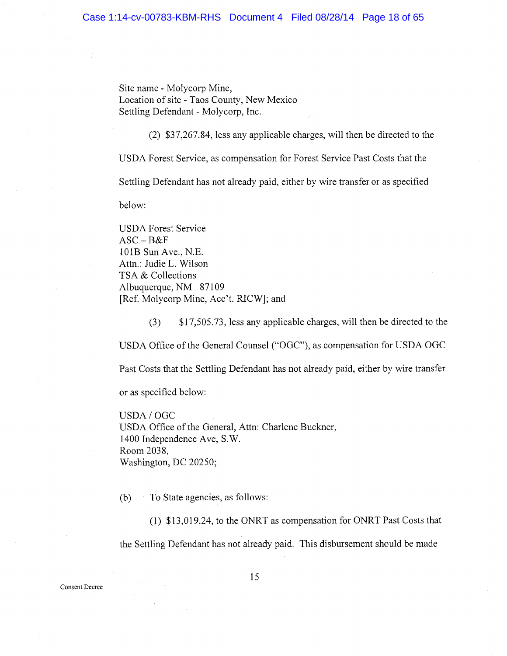Site name - Molycorp Mine, Location of site -Taos County, New Mexico Settling Defendant - Molycorp, Inc.

(2) \$37,267.84, less any applicable charges, will then be directed to the

USDA Forest Service, as compensation fox Forest Service Past Costs that the

Settling Defendant has not already paid, either by wire transferor as specified

below:

USDA Forest Service  $ASC - B&F$ 101B Sun Ave., N.E. Attn.: Judie L. Wilson TSA & Collections Albuquerque, NM 87109 [Ref. Molycorp Mine, Acc't. RICW]; and

(3) \$17,505.73, less any applicable charges, will then be directed to the USDA Office of the General Counsel ("OGC"), as compensation for USDA OGC Past Costs that the Settling Defendant has not already paid, either by wire transfer

or as specified below:

USDA/OGC USDA Office of the General, Attn: Charlene Buckner, 1400 Independence Ave, S.W. Room 2038, Washington, DC 20250;

{b) To State agencies, as follows:

(1) \$13,019.24, to the ONRT as compensation for ONRT Past Costs that the Settling Defendant has not already paid. This disbursement should be made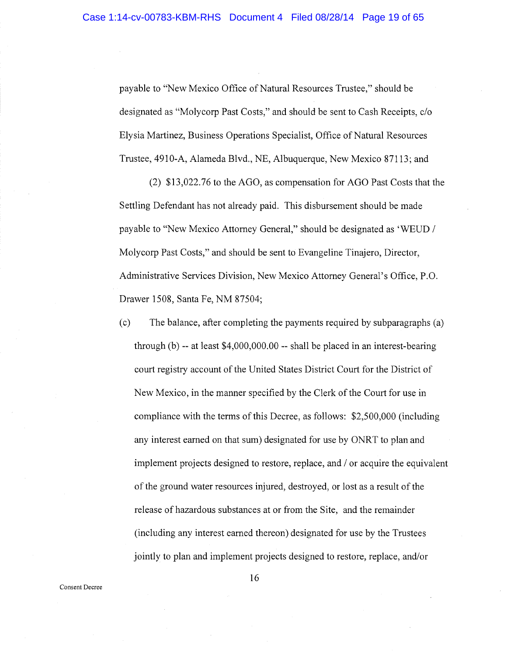payable to "New Mexico Office of Natural Resources Trustee," should be designated as "Molycorp Past Costs," and should be sent to Cash Receipts, c/o Elysia Martinez, Business Operations Specialist, Office of Natural Resources Trustee, 4910-A, Alameda Blvd., NE, Albuquerque, New Mexico 87113; and.

(2) \$13,022.76 to the AGO, as compensation for AGO Past Costs that the Settling Defendant has not already paid. This disbursement should be made payable to "New Mexico Attorney General," should be designated as `WEUD / Molycorp Past Costs," and should be sent to Evangeline Tinajero, Director, Administrative Services Division, New Mexico Attorney General's Office, P.O. Drawer 1508, Santa Fe, NM 87504;

(c) The balance, after completing the payments required by subparagraphs (a) through (b) -- at least \$4,000,000.00 -- shall be placed in an interest-bearing court registry account of the United States District Court for the District of New Mexico, in the manner specified by the Clerk of the Court for use in compliance with the terms of this Decree, as follows:  $$2,500,000$  (including any interest earned on that sum) designated for use by ONRT to plan and implement projects designed to restore, replace, and / or acquire the equivalent of the ground water resources injured, destroyed, or lost as a result of the release of hazardous substances at or from the Site, and the remainder (including any interest earned thereon) designated for use by the Trustees jointly to plan and implement projects designed to restore, replace, and/or

Consent Decree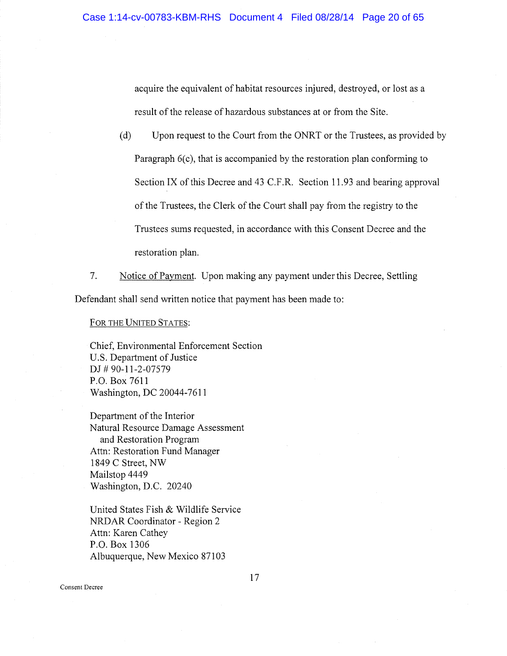acquire the equivalent of habitat resources injured, destroyed, or lost as a result of the release of hazardous substances at or from the Site.

- (d) Upon request to the Court from the ONRT or the Trustees, as provided by Paragraph 6(c), that is accompanied by the restoration plan conforming to Section IX of this Decree and 43 C.F.R. Section 11.93 and bearing approval of the Trustees, the Clerk of the Court shall pay from the registry to the Trustees sums requested, in accordance with this Consent Decree and the restoration plan.
- 7. Notice of Payment. Upon making any payment under this Decree, Settling Defendant shall send written notice that payment has been made to:

FOR THE UNITED STATES:

Chief, Environmental Enforcement Section U.S. Department of Justice DJ # 90-11-2-07579 P.O. Box 7611 Washington, DC 20044-7611

Department of the Interior Natural Resource Damage Assessment and Restoration Program Attn: Restoration Fund Manager 1849 C Street, NW Mailstop 4449 Washington, D.C. 20240

United States Fish & Wildlife Service NRDAR Coordinator - Region 2 Attn: Karen Cathey P.O. Box 1306 Albuquerque, New Mexico 87103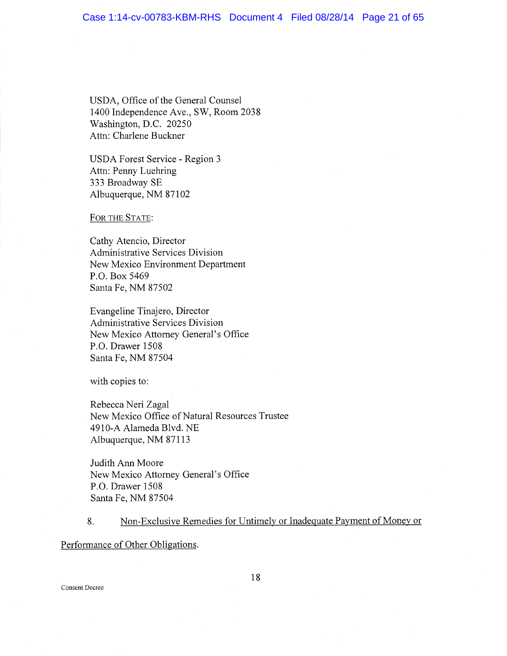USDA, Office of the General Counsel 1400 Independence Ave., SW, Room 2038 Washington, D.C. 20250 Attn: Charlene Buckner

USDA Forest Service -Region 3 Attn: Penny Luehring 333 Broadway SE Albuquerque, NM 87102

FOR THE STATE:

Cathy Atencio, Director Administrative Services Division New Mexico Environment Department P.O. Box 5469 Santa Fe, NM 87502

Evangeline Tinajero, Director Administrative Services Division New Mexico Attorney General's Office P.O. Drawer 1508 Santa Fe, NM 87504

with copies to:

Rebecca Neri Zagal New Mexico Office of Natural Resources Trustee 4910-A Alameda Blvd. NE Albuquerque, NM 87113

Judith Ann Moore New Mexico Attorney General's Office P.O. Drawer 1508 Santa Fe, NM 87504

8. Non-Exclusive Remedies for Untimely or Inadequate Payment of Money or

Performance of Other Obligations.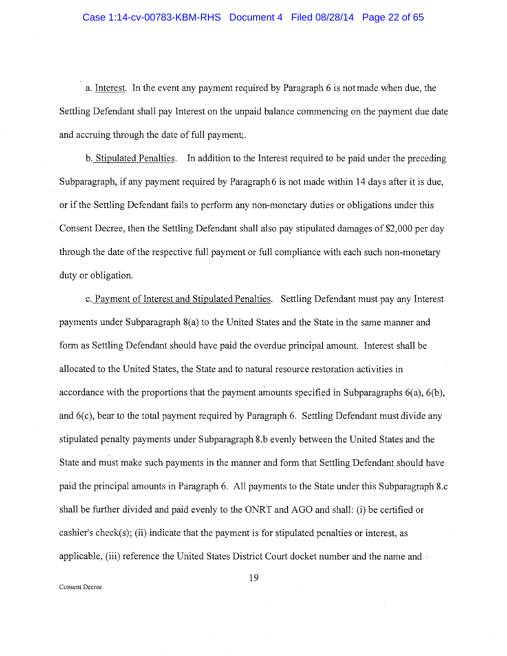### Case 1:14-cv-00783-KBM-RHS Document 4 Filed 08/28/14 Page 22 of 65

a. Interest. In the event any payment required by Paragraph 6 is not made when due, the Settling Defendant shall pay Interest on the unpaid balance commencing on the payment due date and accruing through the date of full payment;.

b. Stipulated Penalties. In addition to the Interest required to be paid under the preceding Subparagraph, if any payment required by Paragraph 6 is not made within 14 days after it is due, or if the Settling Defendant fails to perform any non-monetary duties or obligations under this Consent Decree, then the Settling Defendant shall also pay stipulated damages of \$2,000 per day through the date of the respective full payment or full compliance with each such non-monetary duty or obligation.

c. Payment of Interest and Stipulated Penalties. Settling Defendant must pay any Interest payments under Subparagraph 8(a) to the United States and the State in the same manner and form as Settling Defendant should have paid the overdue principal amount. Interest shall be allocated to the United States, the State and to natural resource restoration activities in accordance with the proportions that the payment amounts specified in Subparagraphs 6(a), 6(b), and 6(c), bear to the total payment required by Paragraph 6. Settling Defendant must divide any stipulated penalty payments under Subparagraph 8.b evenly between the United States and the State and must make such payments in the manner and form that Settling Defendant should have paid the principal amounts in Paragraph 6. All payments to the State under this Subparagraph 8.c shall be further divided and paid evenly to the ONRT and AGO and shall: (i) be certified or cashier's check(s); (ii) indicate that the payment is for stipulated penalties or interest, as applicable, (iii) reference the United States District Court docket number and the name and

Consent Decree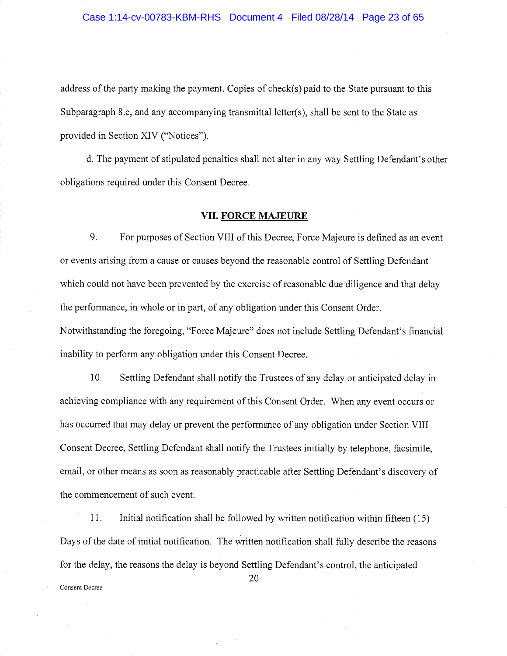### Case 1:14-cv-00783-KBM-RHS Document 4 Filed 08/28/14 Page 23 of 65

address of the party making the payment. Copies of check(s) paid to the State pursuant to this Subparagraph 8.c, and any accompanying transmittal letter(s), shall be sent to the State as provided in Section XIV ("Notices")

d. The payment of stipulated penalties shall not alter in any way Settling Defendant's other obligations required under this Consent Decree.

### VII. FORCE MAJEURE

9. For purposes of Section VIII of this Decree, Force Majeure is defined as an event or events arising from a cause or causes beyond the reasonable control of Settling Defendant which could not have been prevented by the exercise of reasonable due diligence and that delay the performance, in whole or in part, of any obligation under this Consent Order. Notwithstanding the foregoing, "Force Majeure" does not include Settling Defendant's financial inability to perform any obligation under this Consent Decree.

10. Settling Defendant shall notify the Trustees of any delay or anticipated delay in achieving compliance with any requirement of this Consent Order. When any event occurs or has occurred that may delay or prevent the performance of any obligation under Section VIII Consent Decree, Settling Defendant shall notify the Trustees initially by telephone, facsimile, email, or other means as soon as reasonably practicable after Settling Defendant's discovery of the commencement of such event.

11. Initial notification shall be followed by written notification within fifteen (15) Days of the date of initial notification. The written notification shall fully describe the reasons for the delay, the reasons the delay is beyond Settling Defendant's control, the anticipated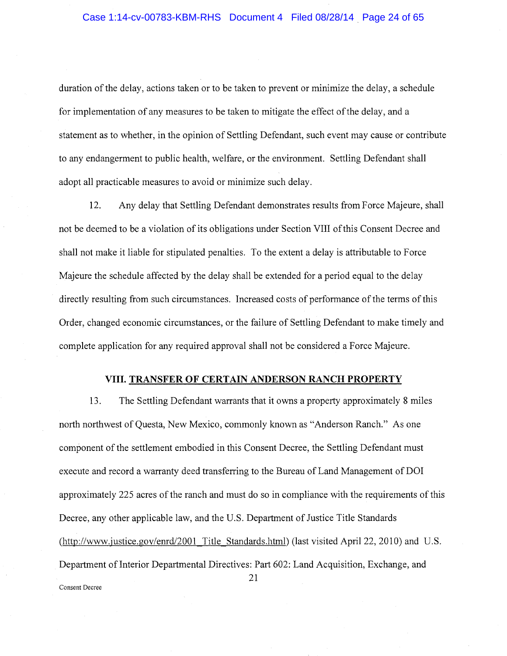duration of the delay, actions taken or to be taken to prevent or minimize the delay, a schedule for implementation of any measures to be taken to mitigate the effect of the delay, and a statement as to whether, in the opinion of Settling Defendant, such event may cause or contribute to any endangerment to public health, welfare, or the environment. Settling Defendant shall adopt all practicable measures to avoid or minimize such delay.

12. Any delay that Settling Defendant demonstrates results from Force Majeure, shall not be deemed to be a violation of its obligations under Section VIII of this Consent Decree and shall not make it liable for stipulated penalties. To the extent a delay is attributable to Force Majeure the schedule affected by the delay shall be extended for a period equal to the delay directly resulting from such circumstances. Increased costs of performance of the terms of this Order, changed economic circumstances, or the failure of Settling Defendant to make timely and complete application for any required approval shall not be considered a Force Majeure.

### VIII. TRANSFER OF CERTAIN ANDERSON RANCH PROPERTY

13. The Settling Defendant warrants that it owns a property approximately 8 miles north northwest of Questa, New Mexico, commonly known as "Anderson Ranch." As one component of the settlement embodied in this Consent Decree, the Settling Defendant must execute and record a warranty deed transferring to the Bureau of Land Management of DOI approximately 225 acres of the ranch and must do so in compliance with the requirements of this Decree, any other applicable law, and the U.S. Department of Justice Title Standards (http://www.justice.gov/enrd/2001 Title Standards.html) (last visited April 22, 2010) and U.S. Department of Interior Departmental Directives: Part 602: Land Acquisition, Exchange, and 21 Consent Decree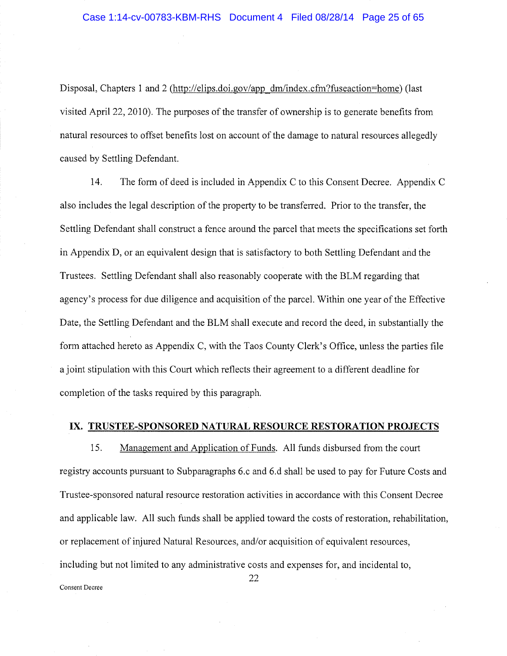Disposal, Chapters 1 and 2 (http://elips.doi.gov/app dm/index.cfm?fuseaction=home) (last visited Apri122, 2010). The purposes of the transfer of ownership is to generate benefits from natural resources to offset benefits lost on account of the damage to natural resources allegedly caused by Settling Defendant.

14. The form of deed is included in Appendix C to this Consent Decree. Appendix C also includes the legal description of the property to be transferred. Prior to the transfer, the Settling Defendant shall construct a fence around the parcel that meets the specifications set forth in Appendix D, or an equivalent design that is satisfactory to both Settling Defendant and the Trustees. Settling Defendant shall also reasonably cooperate with the BLM regarding that agency's process for due diligence and acquisition of the parcel. Within one year of the Effective Date, the Settling Defendant and the BLM shall execute and record the deed, in substantially the form attached hereto as Appendix C, with the Taos County Clerk's Office, unless the parties file a joint stipulation with this Court which reflects their agreement to a different deadline for completion of the tasks required by this paragraph.

### iX. TRUSTEE-SPONSORED NATURAL RESOURCE RESTORATION PROJECTS

15. Management and Application of Funds. All funds disbursed from the court registry accounts pursuant to Subparagraphs 6.c and 6.d shall be used to pay for Future Costs and Trustee-sponsored natural resource restoration activities in accordance with this Consent Decree and applicable law. All such funds shall be applied toward the costs of restoration, rehabilitation, or replacement of injured Natural Resources, and/or acquisition of equivalent resources, including but not limited to any administrative costs and expenses for, and incidental to,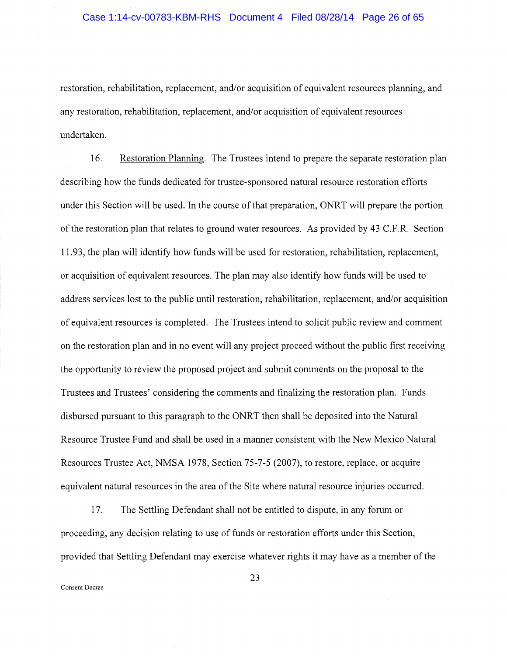restoration, rehabilitation, replacement, and/or acquisition of equivalent resources planning, and any restoration, rehabilitation, replacement, and/or acquisition of equivalent resources undertaken.

16. Restoration Planning. The Trustees intend to prepare the separate restoration plan describing how the funds dedicated for trustee-sponsored natural resource restoration efforts under this Section will be used. In the course of that preparation, ONRT will prepare the portion of the restoration plan that relates to ground water resources. As provided by 43 C.F.R. Section 11.93, the plan will identify how funds will be used for restoration, rehabilitation, replacement, or acquisition of equivalent resources. The plan may also identify how funds will be used to address services lost to the public until restoration, rehabilitation, replacement, and/or acquisition of equivalent resources is completed. The Trustees intend to solicit public review and comment on the restoration plan and in no event will any project proceed without the public first receiving the opportunity to review the proposed project and submit comments on the proposal to the Trustees and Trustees' considering the comments and finalizing the restoration plan. Funds disbursed pursuant to this paragraph to the ONRT then shall be deposited into the Natural Resource Trustee Fund and shall be used in a manner consistent with the New Mexico Natural Resources Trustee Act, NMSA 1978, Section 75-7-5 (2007), to restore, replace, or acquire equivalent natural resources in the area of the Site where natural resource injuries occurred.

17. The Settling Defendant shall not be entitled to dispute, in any forum or proceeding, any decision relating to use of funds or restoration efforts under this Section, provided that Settling Defendant may exercise whatever rights it may have as a member of the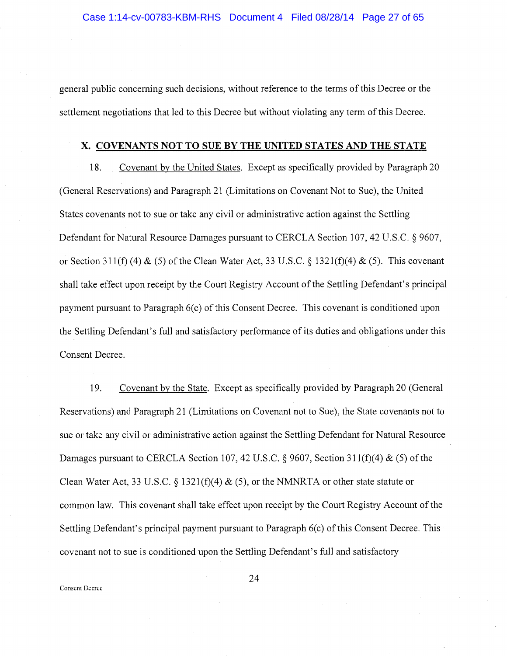general public concerning such decisions, without reference to the terms of this Decree or the settlement negotiations that led to this Decree but without violating any term of this Decree.

### X, COVENANTS NOT TO SUE BY THE UNITED STATES AND THE STATE

18. Covenant by the United States. Except as specifically provided by Paragraph 20 (General Reservations) and Paragraph 21 (Limitations on Covenant Not to Sue), the United States covenants not to sue or take any civil or administrative action against the Settling Defendant for Natural Resource Damages pursuant to CERCLA Section 107, 42 U.S.C. § 9607, or Section 311(f) (4)  $\&$  (5) of the Clean Water Act, 33 U.S.C. § 1321(f)(4)  $\&$  (5). This covenant shall take effect upon receipt by the Court Registry Account of the Settling Defendant's principal payment pursuant to Paragraph 6(c) of this Consent Decree. This covenant is conditioned upon the Settling Defendant's full and satisfactory performance of its duties and obligations under this Consent Decree.

19. Covenant by the State. Except as specifically provided by Paragraph 20 (General Reservations) and Paragraph 21 (Limitations on Covenant not to Sue), the State covenants not to sue or take any civil or administrative action against the Settling Defendant for Natural Resource Damages pursuant to CERCLA Section 107, 42 U.S.C. § 9607, Section 311(f)(4) & (5) of the Clean Water Act, 33 U.S.C. § 1321(f)(4)  $\&$  (5), or the NMNRTA or other state statute or common law. This covenant shall take effect upon receipt by the Court Registry Account of the Settling Defendant's principal payment pursuant to Paragraph 6(c) of this Consent Decree. This covenant not to sue is conditioned upon the Settling Defendant's full and satisfactory

Consent Decree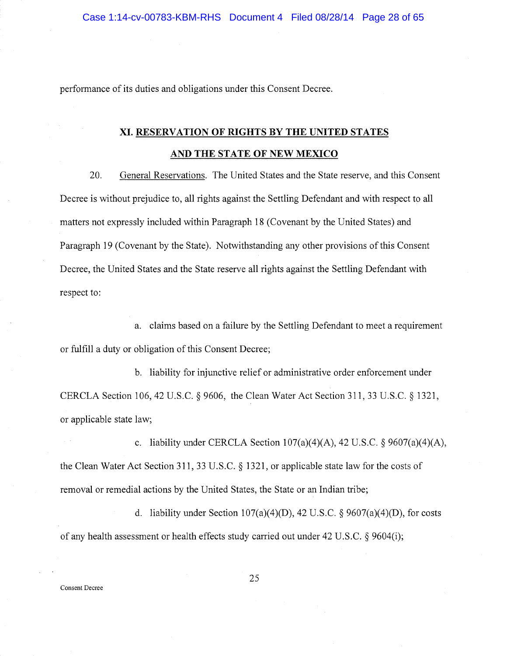performance of its duties and obligations under this Consent Decree.

### XI. RESERVATION OF RIGHTS BY THE UNITED STATES AND THE STATE OF NEW MEXICO

20. General Reservations. The United States and the State reserve, and this Consent Decree is without prejudice to, all rights against the Settling Defendant and with respect to all. matters not expressly included within Paragraph 18 (Covenant by the United States) and Paragraph 19 (Covenant by the State). Notwithstanding any other provisions of this Consent Decree, the United States and the State reserve all rights against the Settling Defendant with respect to:

a. claims based on a failure by the Settling Defendant to meet a requirement or fulfill a duty or obligation of this Consent Decree;

b. liability for injunctive relief or administrative order enforcement under CERCLA Section 106, 42 U.S.C. § 9606, the Clean Water Act Section 311, 33 U.S.C. § 1321, or applicable state law;

c. liability under CERCLA Section  $107(a)(4)(A)$ , 42 U.S.C. § 9607(a)(4)(A), the Clean Water Act Section 311, 33 U.S.C. § 1321, or applicable state law for the costs of removal or remedial actions by the United States, the State or an Indian tribe;

d. liability under Section 107(a)(4)(D), 42 U.S.C.  $\S$  9607(a)(4)(D), for costs of any health assessment or health effects study carried out under 42 U.S.C. § 9604(1);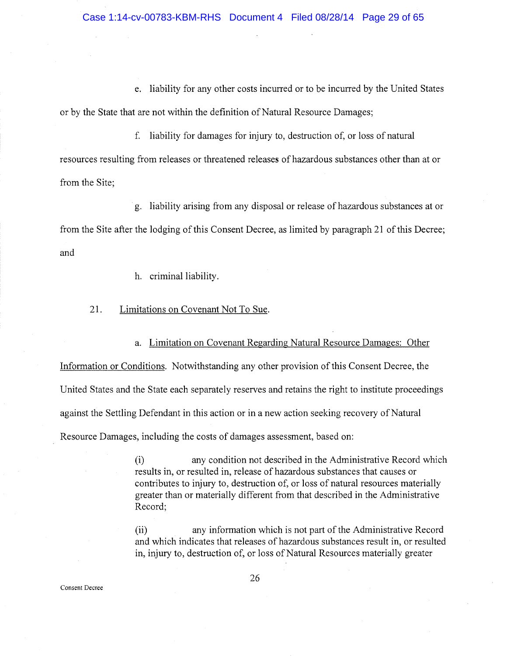e. liability for any other costs incurred or to be incurred by the United States or by the State that are not within the definition of Natural Resource Damages;

f. liability for damages for injury to, destruction of, or loss of natural resources resulting from releases or threatened releases of hazardous substances other than at or from the Site;

g. liability arising from any disposal or release of hazardous substances at or from the Site after the lodging of this Consent Decree, as limited by paragraph 21 of this Decree; and

h. criminal liability.

### 21. Limitations on Covenant Not To Sue.

a. Limitation on Covenant Regarding Natural Resource Damages: Other

Information or Conditions. Notwithstanding any other provision of this Consent Decree, the United States and the State each separately reserves and retains the right to institute proceedings against the Settling Defendant in this action or in a new action seeking recovery of Natural Resource Damages, including the costs of damages assessment, based on:

> (i) any condition not described in the Administrative Record which results in, or resulted in, release of hazardous substances that causes or contributes to injury to, destruction of, or loss of natural resources materially greater than or materially different from that described in the Administrative Record;

> (ii) any information which is not part of the Administrative Record and which indicates that releases of hazardous substances result in, or resulted in, injury to, destruction of, or loss of Natural Resources materially greater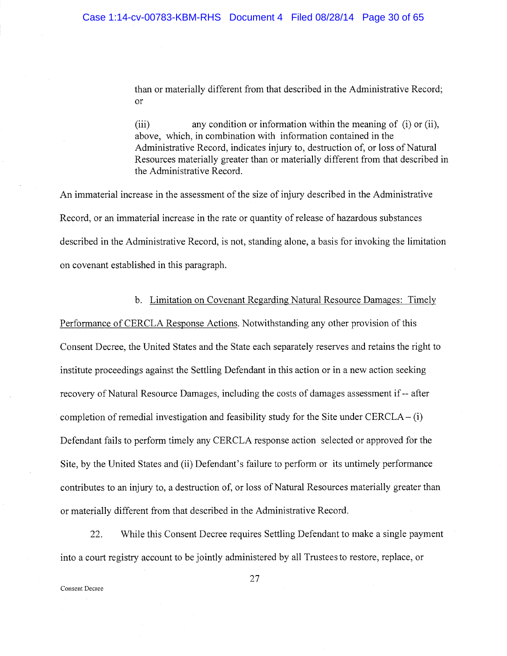than or materially different from that described in the Administrative Record; or

(iii) any condition or information within the meaning of (i) or (ii), above, which, in combination with information contained in the Administrative Record, indicates injury to, destruction of, or loss of Natural Resources materially greater than or materially different from that described in the Administrative Record.

An immaterial increase in the assessment of the size of injury described in the Administrative Record, or an immaterial increase in the rate or quantity of release of hazardous substances described in the Administrative Record, is not, standing alone, a basis for invoking the limitation on covenant established in this paragraph.

### b. Limitation on Covenant Regarding Natural Resource Damages: Timely

Performance of CERCLA Response Actions. Notwithstanding any other provision of this Consent Decree, the United States and the State each separately reserves and retains the right to institute proceedings against the Settling Defendant in this action or in a new action seeking recovery of Natural Resource Damages, including the costs of damages assessment if -- after completion of remedial investigation and feasibility study for the Site under  $CERCLA - (i)$ Defendant fails to perform timely any CERCLA response action selected or approved for the Site, by the United States and (ii) Defendant's failure to perform or its untimely performance contributes to an injury to, a destruction of, or loss of Natural Resources materially greater than or materially different from that described in the Administrative Record.

22. While this Consent Decree requires Settling Defendant to make a single payment into a court registry account to be jointly administered by all Trustees to restore, replace, or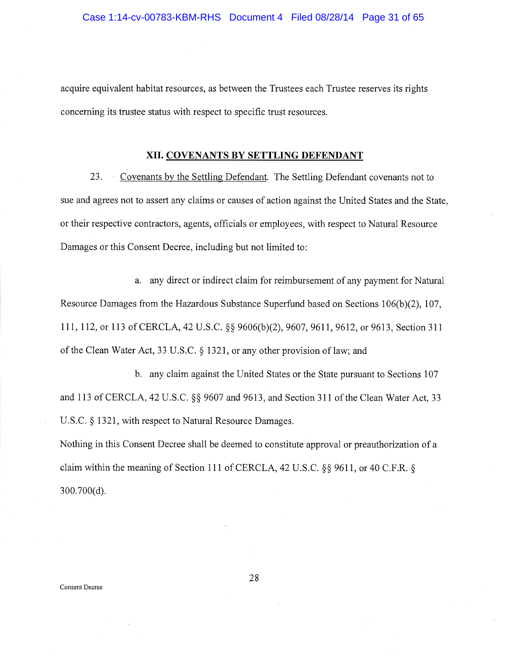acquire equivalent habitat resources, as between the Trustees each Trustee reserves its rights concerning its trustee status with respect to specific trust resources.

### XII. COVENANTS BY SETTLING DEFENDANT

23. Covenants by the Settling Defendant. The Settling Defendant covenants not to sue and agrees not to assert any claims or causes of action against the United States and the State, or their respective contractors, agents, officials or employees, with respect to Natural Resource Damages or this Consent Decree, including but not limited to:

a. any direct or indirect claim for reimbursement of any payment for Natural Resource Damages from the Hazardous Substance Superfund based on Sections 106(b)(2), 107, 111, 112, or 113 of CERCLA, 42 U.S.C. §§ 9606(b)(2), 9607, 9611, 9612, or 9613, Section 311 of the Clean Water Act, 33 U.S.C. § 1321, or any other provision of law; and

b. any claim against the United States or the State pursuant to Sections 107 and 113 of CERCLA, 42 U.S.C. §§ 9607 and 9613, and Section 311 of the Clean Water Act, 33 U.S.C. § 1321, with respect to Natural Resource Damages.

Nothing in this Consent Decree shall be deemed to constitute approval or preauthorization of a claim within the meaning of Section 111 of CERCLA, 42 U,S.C. §§ 9611, or 40 C,F.R. § 300.700(d).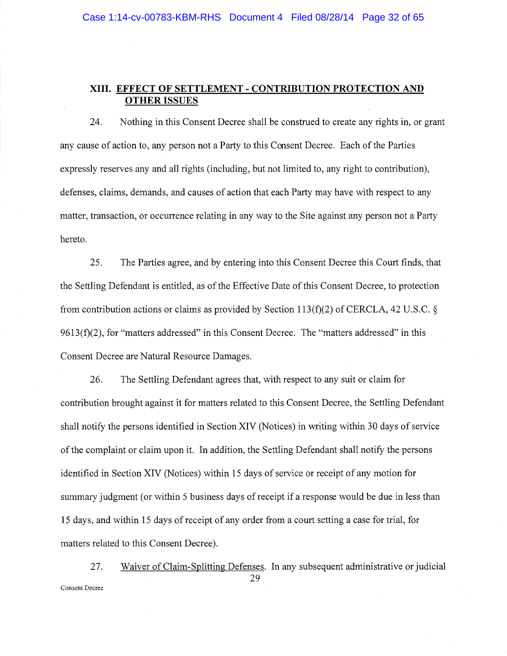### XIII. EFFECT OF SETTLEMENT -CONTRIBUTION PROTECTION AND OTHER ISSUES

24. Nothing in this Consent Decree shall be construed to create any rights in, or grant any cause of action to, any person not a Party to this Consent Decree. Each of the Parties expressly reserves any and all rights (including, but not limited to, any right to contribution), defenses, claims, demands, and causes of action that each Party may have with respect to any matter, transaction, or occurrence relating in any way to the Site against any person not a Party hereto.

2S. The Parties agree, and by entering into this Consent Decree this Court finds, that the Settling Defendant is entitled, as of the Effective Date of this Consent Decree, to protection from contribution actions or claims as provided by Section 113(f)(2) of CERCLA, 42 U.S.C. §  $9613(f)(2)$ , for "matters addressed" in this Consent Decree. The "matters addressed" in this Consent Decree are Natural Resource Damages.

26. The Settling Defendant agrees that, with respect to any suit or claim for contribution brought against it for matters related to this Consent Decree, the Settling Defendant shall notify the persons identified in Section XIV (Notices) in writing within 30 days of service of the complaint or claim upon it. In addition, the Settling Defendant shall notify the persons identified in Section XIV (Notices) within 15 days of service or receipt of any motion for summary judgment (or within 5 business days of receipt if a response would be due in less than 15 days, and within 15 days of receipt of any order from a court setting a case for trial, for matters related to this Consent Decree).

27. Waiver of Claim-Splitting Defenses. In any subsequent administrative or judicial 29 Consent Decree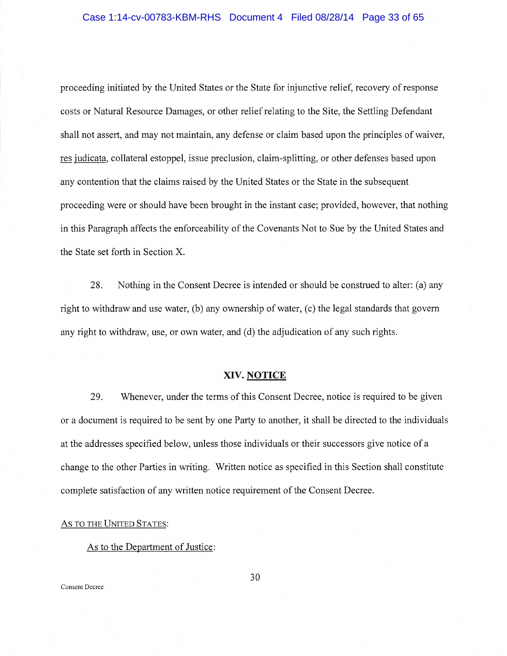### Case 1:14-cv-00783-KBM-RHS Document 4 Filed 08/28/14 Page 33 of 65

proceeding initiated by the United States or the State for injunctive relief, recovery of response costs or Natural Resource Damages, or other relief relating to the Site, the Settling Defendant shall not assert, and may not maintain, any defense or claim based upon the principles of waiver, res judicata, collateral estoppel, issue preclusion, claim-splitting, or other defenses based upon any contention that the claims raised by the United States or the State in the subsequent proceeding were or should have been brought in the instant case; provided, however, that nothing in this Paragraph affects the enforceability of the Covenants Not to Sue by the United States and the State set forth in Section X.

28. Nothing in the Consent Decree is intended or should be construed to alter: (a) any right to withdraw and use water, (b) any ownership of water, (c) the legal standards that govern any right to withdraw, use, or own water, and (d) the adjudication of any such rights.

### XIV. NOTICE

29. Whenever, under the terms of this Consent Decree, notice is required to be given or a document is required to be sent by one Party to another, it shall be directed to the individuals at the addresses specified below, unless those individuals or their successors give notice of a change to the other Parties in writing. Written notice as specified in this Section shall constitute complete satisfaction of any written notice requirement of the Consent Decree.

### AS TO THE UNITED STATES:

As to the Department of Justice: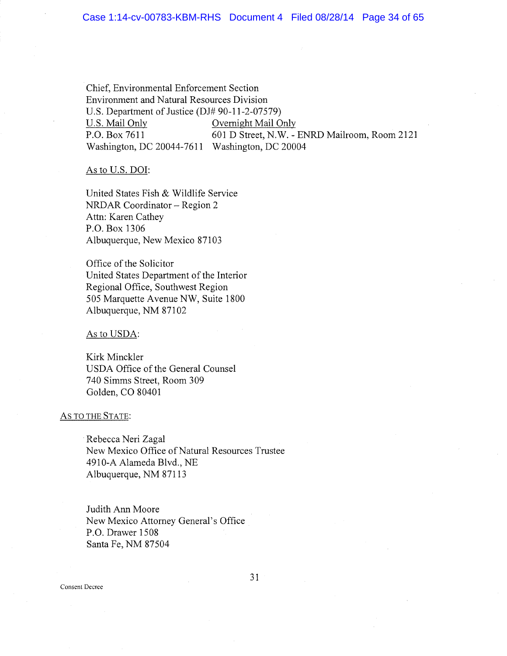### Case 1:14-cv-00783-KBM-RHS Document 4 Filed 08/28/14 Page 34 of 65

Chief, Environmental Enforcement Section Environment and Natural Resources Division U.S. Department of Justice (DJ# 90-11-2-07579) U.S. Mail Only **Overnight Mail Only** P.O. Box 7611 601 D Street, N.W. - ENRD Mailroom, Room 2121 Washington, DC 20044-7611 Washington, DC 20004

As to U.S. DOI:

United States Fish & Wildlife Service NRDAR Coordinator —Region 2 Attn: Karen Cathey P.O. Box 1306 Albuquerque, New Mexico 87103

Office of the Solicitor United States Department of the Interior Regional Office, Southwest Region 505 Marquette Avenue NW, Suite 1800 Albuquerque, NM 87102

As to USDA:

Kirk Minckler USDA Office of the General Counsel 740 Simms Street, Room 309 Golden, CO 80401

### AS TO THE STATE:

Rebecca Neri Zagal New Mexico Office of Natural Resources Trustee 4910-A Alameda Blvd., NE Albuquerque, NM 87113

Judith Ann Moore New Mexico Attorney General's Office P.O. Drawer 1508 Santa Fe, NM 87504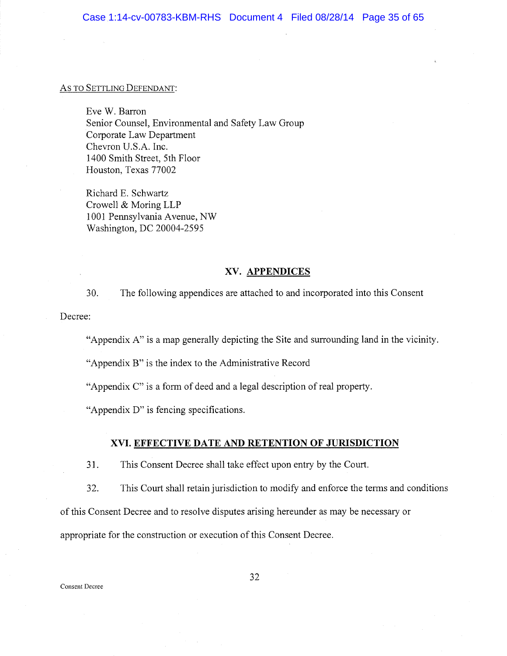### AS TO SETTLING DEFENDANT:

Eve W. Barron Senior Counsel, Environmental and Safety Law Group Corporate Law Department Chevron U.S.A. Inc. 1400 Smith Street, 5th Floor Houston, Texas 77002

Richard E. Schwartz Crowell & Moring LLP i 001 Pennsylvania Avenue, NW Washington, DC 20004-2595

### XV. APPENDICES

30. The following appendices are attached to and incorporated into this Consent

Decree:

"Appendix A" is a map generally depicting the Site and surrounding land in the vicinity.

"Appendix B" is the index to the Administrative Record

"Appendix C" is a form of deed and a legal description of real property.

"Appendix D" is fencing specifications.

### XVI. EFFECTIVE DATE AND RETENTION OF JURISDICTION

31. This Consent Decree shall take effect upon entry by the Court.

32. This Court shall retain jurisdiction to modify and enforce the terms and conditions

of this Consent Decree and to resolve disputes arising hereunder as may be necessary or

appropriate for the construction or execution of this Consent Decree.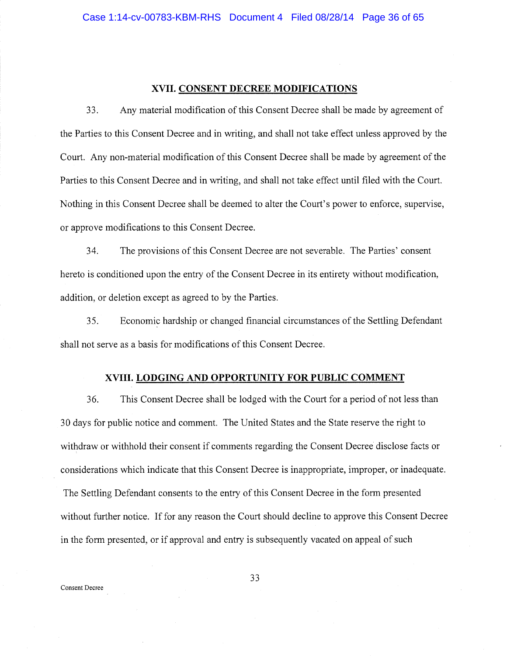### XVII. CONSENT DECREE MODIFICATIONS

33. Any material modification of this Consent Decree shall be made by agreement of the Parties to this Consent Decree and in writing, and shall not take effect unless approved by the Court. Any non-material modification of this Consent Decree shall be made by agreement of the Parties to this Consent Decree and in writing, and shall not take effect until filed with the Court. Nothing in this Consent Decree shall be deemed to alter the Court's power to enforce, supervise, or approve modifications to this Consent Decree.

34. The provisions of this Consent Decree are not severable. The Parties' consent hereto is conditioned upon the entry of the Consent Decree in its entirety without modification, addition, or deletion except as agreed to by the Parties.

35. Economic hardship or changed financial circumstances of the Settling Defendant shall not serve as a basis for modifications of this Consent Decree.

### XVIII. LODGING AND OPPORTUNITY FOR PUBLIC COMMENT

36. This Consent Decree shall be lodged with the Court for a period of not less than 30 days for public notice and comment. The United States and the State reserve the right to withdraw or withhold their consent if comments regarding the Consent Decree disclose facts or considerations which indicate that this Consent Decree is inappropriate, improper, or inadequate. The Settling Defendant consents to the entry of this Consent Decree in the form presented without further notice. If for any reason the Court should decline to approve this Consent Decree in the form presented, or if approval and entry is subsequently vacated on appeal of such

Consent Decree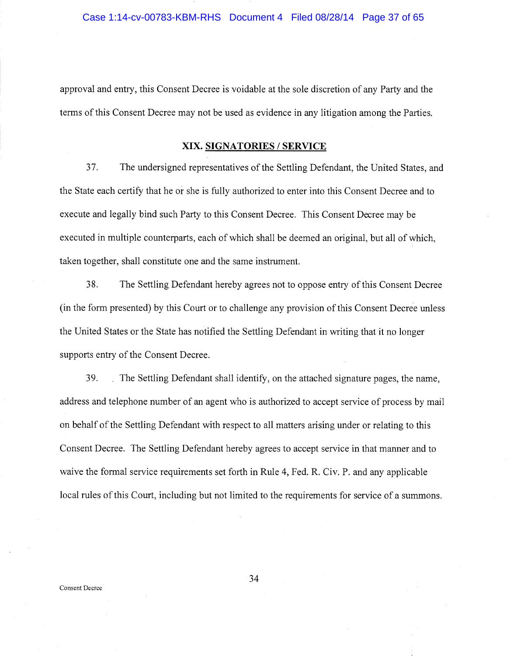approval and entry, this Consent Decree is voidable at the sole discretion of any Party and the terms of this Consent Decree may not be used as evidence in any litigation among the Parties.

### XIX. SIGNATORIES /SERVICE

37. The undersigned representatives of the Settling Defendant, the United States, and the State each certify that he or she is fully authorized to enter into this Consent Decree and to execute and legally bind such Party to this Consent Decree. This Consent Decree may be executed in multiple counterparts, each of which shall be deemed an original, but all of which, taken together, shall constitute one and the same instrument.

38. The Settling Defendant hereby agrees not to oppose entry of this Consent Decree (in the form presented) by this Court or to challenge any provision of this Consent Decree unless the United States or the State has notified the Settling Defendant in writing that it no longer supports entry of the Consent Decree.

39. The Settling Defendant shall identify, on the attached signature pages, the name, address and telephone number of an agent who is authorized to accept service of process by mail on behalf of the Settling Defendant with respect to all matters arising under or relating to this Consent Decree. The Settling Defendant hereby agrees to accept service in that manner and to waive the formal service requirements set forth in Rule 4, Fed. R. Civ. P. and any applicable local rules of this Court, including but not limited to the requirements for service of a summons.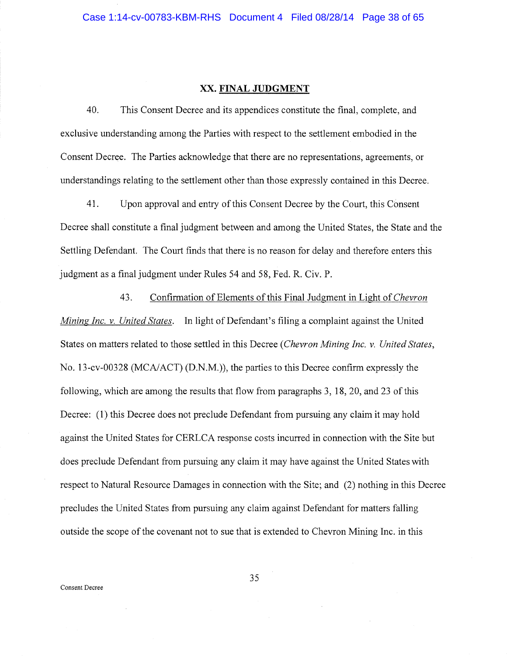### XX. FINAL JUDGMENT

40. This Consent Decree and its appendices constitute the final, complete, and exclusive understanding among the Parties with respect to the settlement embodied in the Consent Decree. The Parties acknowledge that there are no representations, agreements, or understandings relating to the settlement other than those expressly contained in this Decree.

41. Upon approval and entry of this Consent Decree by the Court, this Consent Decree shall constitute a final judgment between and among the United States, the State and the Settling Defendant. The Court finds that there is no reason for delay and therefore enters this judgment as a final judgment under Rules 54 and 58, Fed. R. Civ. P.

43. Confirmation of Elements of this Final Judgment in Light of Chevron Mining Inc. v. United States. In light of Defendant's filing a complaint against the United States on matters related to those settled in this Decree (Chevron Mining Inc. v. United States, No. 13-cv-00328 (MCA/ACT) (D.N.M.)), the parties to this Decree confirm expressly the following, which are among the results that flow from paragraphs 3, 18, 20, and 23 of this Decree: (1) this Decree does not preclude Defendant from pursuing any claim it may hold against the United States for CERLCA response costs incurred in connection with the Site but does preclude Defendant from pursuing any claim it may have against the United States with respect to Natural Resource Damages in connection with the Site; and (2) nothing in this Decree precludes the United States from pursuing any claim against Defendant for matters falling outside the scope of the covenant not to sue that is extended to Chevron Mining Inc. in this

Consent Decree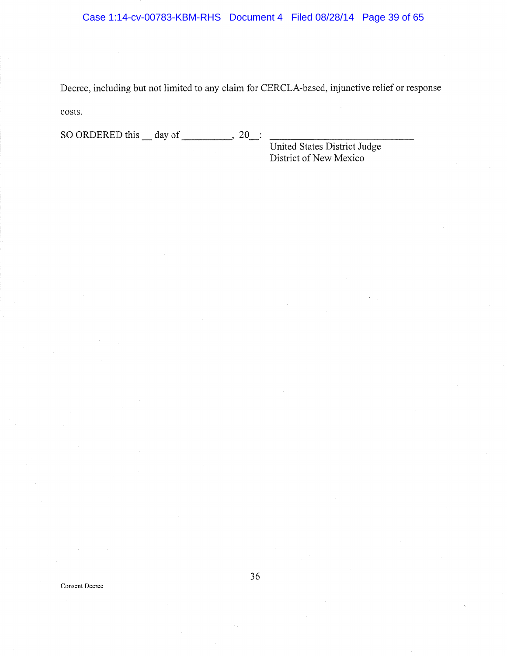Decree, including but not limited to any claim for CERCLA-based, injunctive relief or response costs.

SO ORDERED this \_\_ day of \_\_\_\_\_\_\_\_\_\_\_, 20\_:

United States District Judge District of New Mexico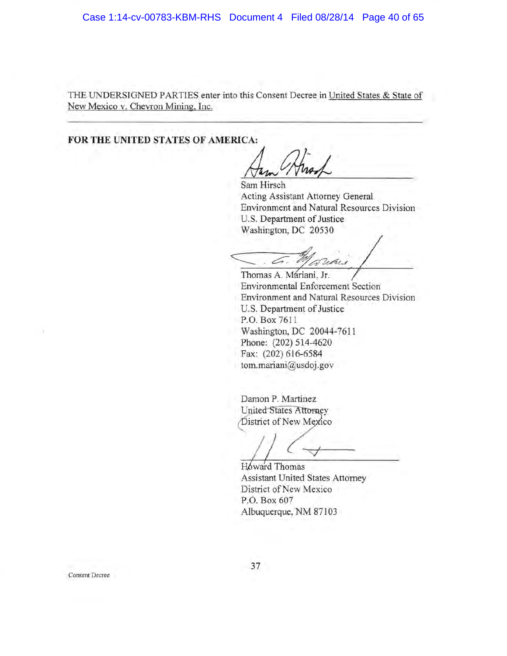THE UNDERSIGNED PARTIES enter into this Consent Decree in United States & State of New Mexico v. Chevron Mining, Inc.

FOR THE UNITED STATES OF AMERICA:

Acting Assistant Attomey General Environment and Natural Resources Division U.S. Department of Justice Washington, DC 20530 Sam Hirsch

Vihi

Thomas A. Máriani, Jr. Environmental Enforcement Section Environment and Natural Resources Division U,S. Department of Justice P.O. Box 7611 Washington, DC 20044-7611 Phone: (202) 514-4620 Fax: (202) 616-6584 tom.mariani@usdoj. gov

Damon P. Martinez United States Attorney District of New Mexico

Howard Thomas Assistant United States Attorney District of New Mexico P.O. Box 607 Albuquerque, NM 87103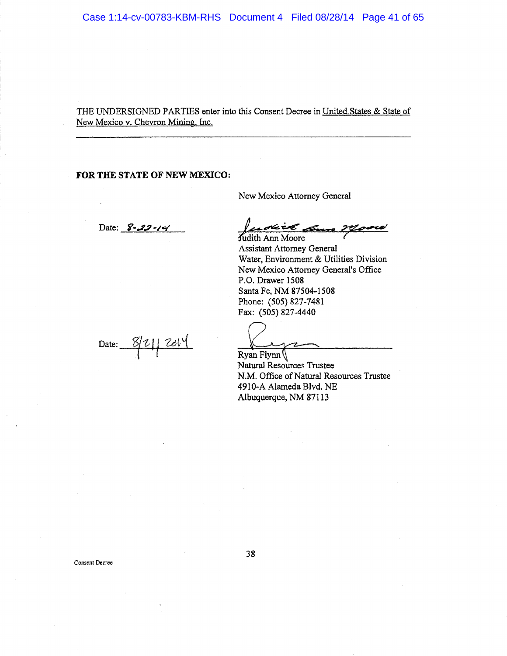THE UNDERSIGNED PARTIES enter into this Consent Decree in United.States & State of New Mexico v. Chevron Mining, Inc.

### FOR THE STATE OF NEW MEXICO:

New Mexico Attorney General

Date: 8-22-14 1204222 2000

Judith Ann Moore Assistant Attorney General Water, Environment & Utilities Division New Mexico Attorney General's Office P.O. Drawer 15Q8 Santa Fe, NM 875Q4-1508 Phone: (SOS) 827-7481 Fax: {505) 827-4440

Date:  $8/21/201$ 

Ryan Flynn $($ Natural Resources Trustee N.M. Office of Natural Resources Trustee 4920-A Alameda Blvd. NE Albuquerque, NM 871 I3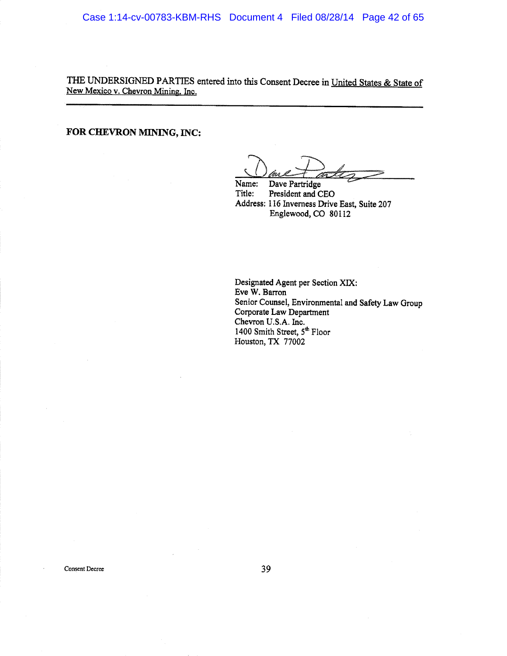THE UNDERSIGNED PARTIES entered into this Consent Decree in United States & State of New Mexico v. Chevron Mining. Inc.

FOR CHEVRON MINING, INC:

"<sup>~</sup>

Name: Dave Fartridge Title: President and CEO Address: 116 Inverness Drive East, Suite 207 Englewood, CO 80112

Designated Agent per Section XIX: Eve W. Barron Senior Counsel, Environmental and Safety Law Group Corporate Law Department Chevron U.S.A. Inc. 1400 Smith Street, 5<sup>th</sup> Floor Houston, TX 77002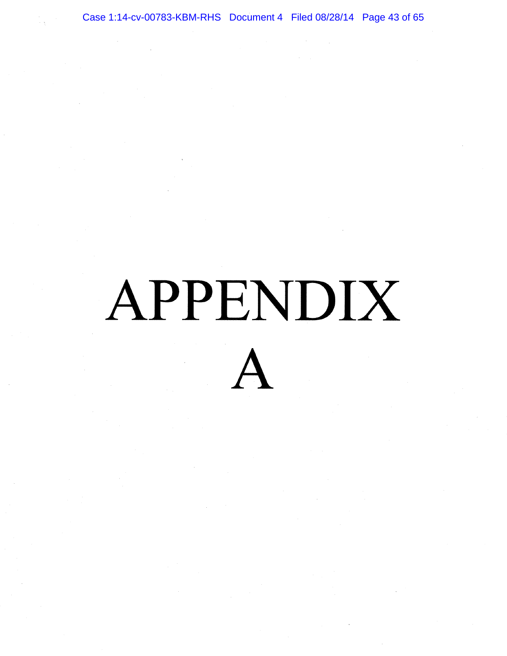Case 1:14-cv-00783-KBM-RHS Document 4 Filed 08/28/14 Page 43 of 65

## APPENDIX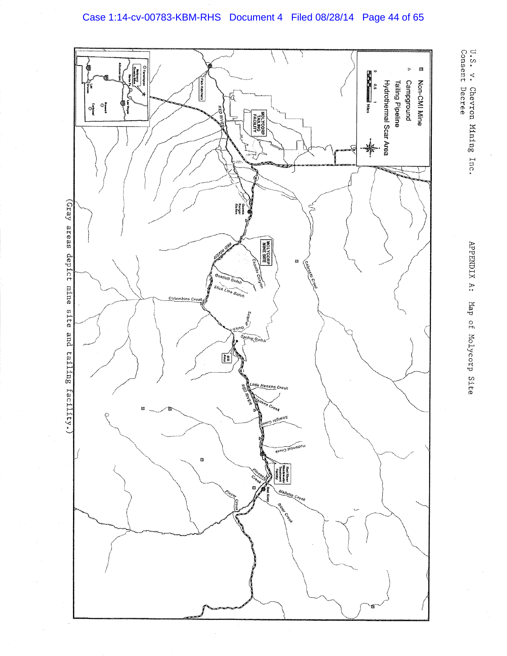



J.S< U.S. v. Chevron Mining Inc.<br>Consent Decree Chevron Miring Consent Decree

Inc<

Asarahan A fag of ~laiycorp Site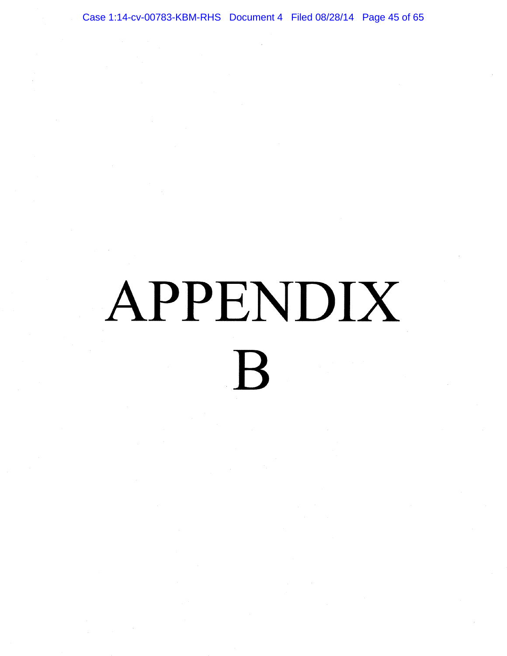Case 1:14-cv-00783-KBM-RHS Document 4 Filed 08/28/14 Page 45 of 65

### APPENDIX  $\overline{\mathsf{R}}$  $\bf{B}$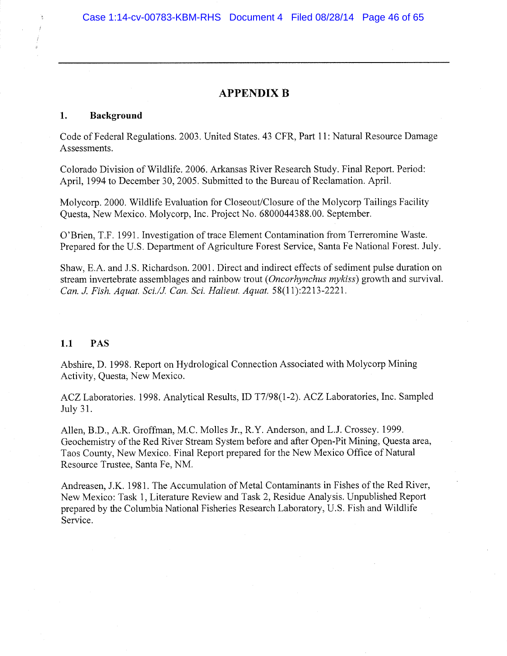### APPENDIX B

### 1. Background

Code of Federal Regulations. 2003. United States. 43 CFR, Part 11: Natural Resource Damage Assessments.

Colorado Division of Wildlife. 2006. Arkansas River Research Study. Final Report. Period: April, 1994 to December 30, 2005. Submitted to the Bureau of Reclamation. April.

Molycorp. 2000. Wildlife Evaluation for Closeout/Closure of the Molycorp Tailings Facility Questa, New Mexico. Molycorp, Inc. Project No. 6800044388.00. September.

(J'Brien, T.F. 1991. Investigation of trace Element Contamination from Terreromine Waste. Prepared for the U.S. Department of Agriculture Forest Service, Santa Fe National Forest. July.

Shaw, E.A. and J.S. Richardson. 2001. Direct and indirect effects of sediment pulse duration on stream invertebrate assemblages and rainbow trout (*Oncorhynchus mykiss*) growth and survival. Can. J. Fish. Aquat. Sci./J. Can. Sci. Halieut. Aquat. 58(11):2213-2221.

### 1.1 PAS

Abshire, D. 1998. Report on Hydrological Connection Associated with Molycorp Mining Activity, Questa; New Mexico.

ACZ Laboratories. 1998. Analytical Results, ID T7/98(1-2). ACZ Laboratories, Inc. Sampled July 31.

Allen, B.D., A.R. Groffman, M.C. Molles Jr., R.Y. Anderson, and L.J. Crossey. 1999. Geochemistry of the Red River Stream System before and after Open-Pit Mining, Questa area, Taos County, New Mexico. Final Report prepared for the New Mexico Office of Natural Resource Trustee, Santa Fe, NM.

Andreasen, J.K. 1981. The Accumulation of Metal Contaminants in Fishes of the Red River, New Mexico: Task 1, Literature Review and Task 2, Residue Analysis. Unpublished Report prepared by the Columbia National Fisheries Research Laboratory, U.S. Fish and Wildlife Service,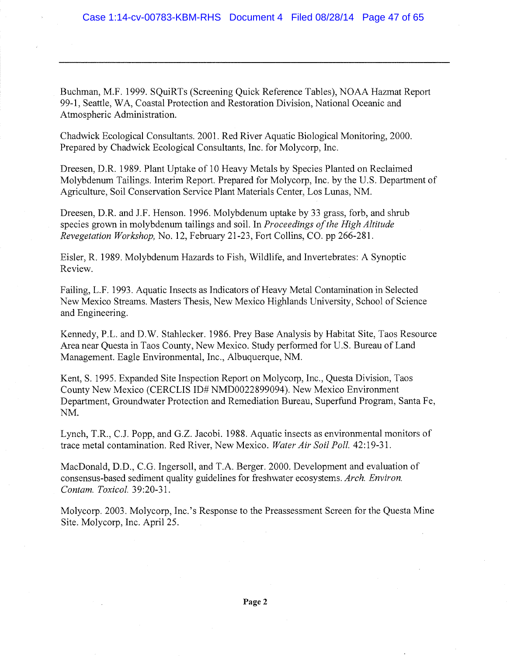Buchman, M.F. 1999. SQuiRTs (Screening Quick Reference Tables), NOAA Hazmat Report 99-1, Seattle, WA, Coastal Protection and Restoration Division, National Oceanic and Atmospheric Administration.

Chadwick Ecological Consultants. 2001. Red River Aquatic Biological Monitoring, 2000. Prepared by Chadwick Ecological Consultants, Inc. for Molycorp, Inc.

Dreesen, D.R. 1989. Plant Uptake of 10 Heavy Metals by Species Planted on Reclaimed Molybdenum Tailings. Interim Report. Prepared for Molycorp, Inc. by the U.S. Department of Agriculture, Soil Conservation Service Flant Materials Center, Los Lunas, NM.

Dreesen, D.R. and J.F. Henson. 1996. Molybdenum uptake by 33 grass, forb, and shrub species grown in molybdenum tailings and soil. In Proceedings of the High Altitude Revegetation Workshop, No. 12, February 21-23, Fort Collins, CO. pp 266-281.

Eisler, R. 1989. Molybdenum Hazards to Fish, Wildlife, and Invertebrates: A Synoptic Review.

Failing, L.F. 1993. Aquatic Insects as Indicators of Heavy Metal Contamination in Selected New Mexico Streams. Masters Thesis, New Mexico Highlands University, School of Science and Engineering.

Kennedy, P.L. and D.W. Stahlecker. 1986. Prey Base Analysis by Habitat Site, Taos Resource Area near Questa in Taos County, New Mexico. Study performed for U.S. Bureau of Land Management. Eagle Environmental, Inc., Albuquerque, NM.

Kent, S. 1995. Expanded Site Inspection Report on Molycorp, Inc., Questa Division, Taos County New Mexico (CERCLIS ID# NMD0022899094). New Mexico Environment Department, Groundwater Protection and Remediation Bureau, Superfund Program, Santa Fe, NM.

Lynch, T.R., C.J. Papp, and G.Z. Jacobi. 1988. Aquatic insects as environmental monitors of trace metal contamination. Red River, New Mexico. Water Air Soil Poll. 42:19-31.

MacDonald, D.D., C.G. Ingersoll, and T.A. Berger. 2000. Development and evaluation of consensus-based sediment quality guidelines for freshwater ecosystems. Arch. Environ. Contam. Toxicol. 39:20-31.

Molycorp. 2003. Molycorp, Inc.'s Response to the Preassessment Screen for the Questa Mine Site. Molycorp, Inc. Apri125.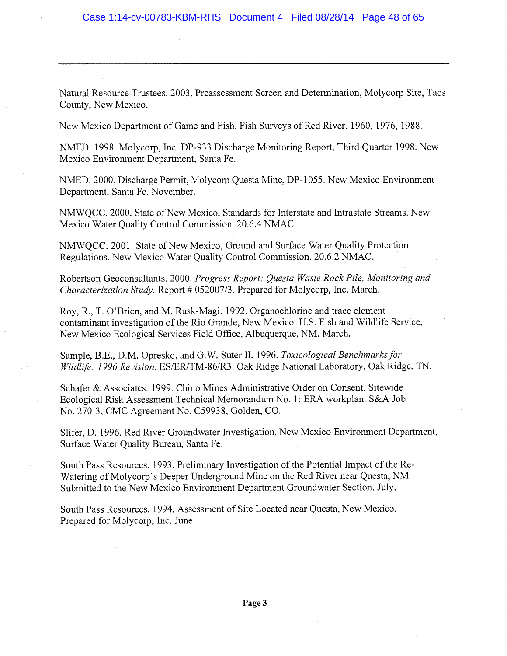Natural Resource Trustees. 2003. Preassessment Screen and Determination, Molycorp Site, Taos County, New Mexico.

New Mexico Department of Game and Fish. Fish Surveys of Red River. 1960, 1976, 1988.

NMED. 1998. Molycorp, Inc. DP-933 Discharge Monitoring Report, Third Quarter 1998. New Mexico Environment Department, Santa Fe.

NMED. 2000. Discharge Permit, Molycorp Questa Mine, DP-1055. New Mexico Environment Department, Santa Fe. November.

NMWQCC. 2000. State of New Mexico, Standards for Interstate and Intrastate Streams. New Mexico Water Quality Control Commission. 20.6.4 NMAC.

NMWQCC. 2001. State of New Mexico, Ground and Surface Water Quality Protection Regulations. New Mexico Water Quality Control Commission. 20.6.2 NMAC.

Robertson Geoconsultants. 2000. Progress Report: Questa Waste Rock Pile, Monitoring and Characterization Study. Report # 052007/3. Prepared for Molycorp, Inc. March.

Roy, R., T. O'Brien, and M. Rusk-Magi. 1992. Organochlorine and trace element contaminant investigation of the Rio Grande, New Mexico. U.S. Fish and Wildlife Service, New Mexico Ecological Services Field Office, Albuquerque, NM. March.

Sample, B.E., D.M. Opresko, and G.W. Suter II. 1996. Toxicological Benchmarks for Wildlife: 1996 Revision. ES/ER/TM-86/R3. Oak Ridge National Laboratory, Oak Ridge, TN.

Schafer & Associates. 1999. Chino Mines Administrative Order on Consent. Sitewide Ecological Risk Assessment Technical Memorandum No. 1: ERA workplan. S&A Job No. 270-3, CMC Agreement No. C59938, Golden, CO.

Slifer, D. 1996. Red River Groundwater Investigation. New Mexico Environment Department, Surface Water Quality Bureau, Santa Fe.

South Pass Resources. 1993. Preliminary Investigation of the Potential Impact of the Re-Watering of Molycorp's Deeper Underground Mine on the Red River near Questa, NM. Submitted to the New Mexico Environment Department Groundwater Section. July.

South Pass Resources. 1994. Assessment of Site Located near Questa, New Mexico. Prepared for Molycorp, Inc. June.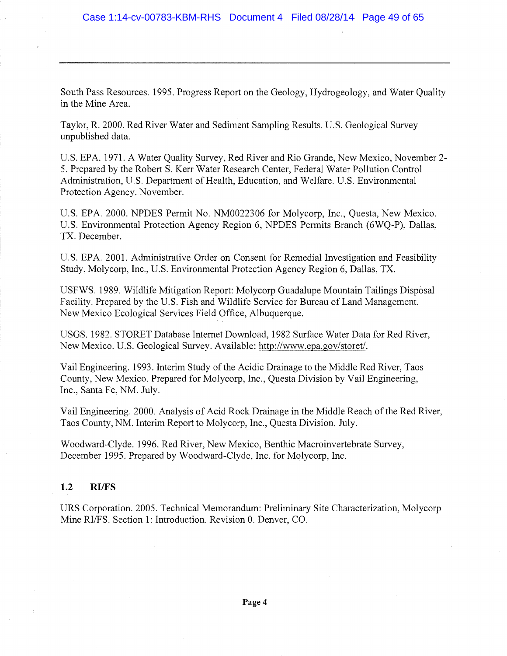South Pass Resources. 1995. Progress Report on the Geology, Hydrogeology, and Water Quality in the Mine Area.

Taylor, R. 2000. Red River Water and Sediment Sampling Results. U.S. Geological Survey unpublished data.

U.S. EPA. 1971. A Water Quality Survey, Red River and Rio Grande, New Mexico, November 2-S. Prepared by the Robert S. Kerr Water Research Center, Federal Water Pollution Control Administration, U.S. Department of Health, Education, and Welfare. U.S. Environmental Protection Agency. November.

U.S. EPA. 2000. NPDES Permit No. NM0022306 for Molycorp, Inc., Questa, New Mexico. U.S. Environmental Protection Agency Region 6, NPDES Permits Branch (6WQ-P), Dallas, TX. December.

U.S. EPA. 2001. Administrative Order on Consent for Remedial Investigation and Feasibility Study, Molycorp, Inc., U.S. Environmental Protection Agency Region 6, Dallas, TX.

USFWS. 1989. Wildlife Mitigation Report: Molycorp Guadalupe Mountain Tailings Disposal Facility. Prepared by the U.S. Fish and Wildlife Service for Bureau of Land Management. New Mexico Ecological Services Field Office, Albuquerque.

USGS. 1982. STOREY Database Internet Download, 1982 Surface Water Data for Red River, New Mexico. U.S. Geological Survey. Available: http://www.epa.gov/storet/.

Vail Engineering. 1993. Interim Study of the Acidic Drainage to the Middle Red River, Taos County, New Mexico. Prepared for Molycorp, Inc., Questa Division by Vail Engineering, Inc., Santa Fe, NM. July.

Vail Engineering. 2000. Analysis of Acid Rock Drainage in the Middle Reach of the Red River, Taos County, NM. Interim Report to Molycorp, Inc., Questa Division. July.

Woodward-Clyde. 1996. Red River, New Mexico, Benthic Macroinvertebrate Survey, December 1995. Prepared by Woodward-Clyde, Inc. for Molycorp, Inc.

### 1.2 RI/FS

URS Corporation. 2005. Technical Memorandum: Preliminary Site Characterization, Molycorp Mine RI/FS. Section 1: Introduction. Revision 0, Denver, CO.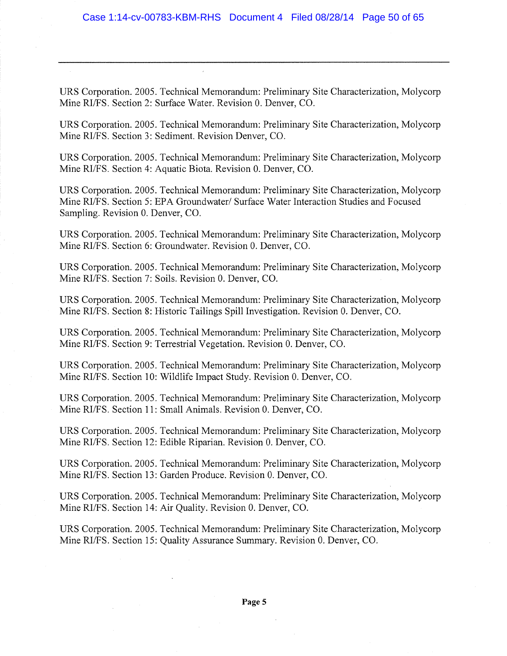URS Corporation. 2005. Technical Memorandum: Preliminary Site Characterization, Molycorp Mine RI/FS. Section 2: Surface Water. Revision 0. Denver, CO.

URS Corporation. 2005. Technical Memorandum: Preliminary Site Characterization, Molycorp Mine RI/FS. Section 3: Sediment. Revision Denver, CO.

URS Corporation. 2005. Technical Memorandum: Preliminary Site Characterization, Molycorp Mine RI/FS. Section 4: Aquatic Biota. Revision 0. Denver, CO.

URS Corporation. 2005. Technical Memorandum: Preliminary Site Characterization, Molycorp Mine RI/FS. Section 5: EPA Groundwater/ Surface Water Interaction Studies and Focused Sampling. Revision 0. Denver, CO.

URS Corporation. 2005. Technical Memorandum: Preliminary Site Characterization, Molycorp Mine RI/FS. Section 6: Groundwater. Revision 0. Denver, CO.

URS Corporation. 2005. Technical Memorandum: Preliminary Site Characterization, Molycorp Mine RI/FS. Section 7: Soils. Revision 0. Denver, CO.

URS Corporation. 2005. Technical Memorandum: Preliminary Site Characterization, Molycorp Mine RI/FS. Section 8: Historic Tailings Spill Investigation. Revision 0. Denver, CO.

URS Corporation. 2005. Technical Memorandum: Preliminary Site Characterization, Molycorp Mine RI/FS. Section 9; Terrestrial Vegetation. Revision 0. Denver, CO.

URS Corporation. 2005. Technical Memorandum: Preliminary Site Characterization, Molycorp Mine RI/FS. Section 10: Wildlife Impact Study. Revision 0. Denver, CO.

URS Corporation. 2005. Technical Memorandum: Preliminary Site Characterization, Molycorp Mine RI/FS. Section 11: Small Animals. Revision 0. Denver, CO.

URS Corporation. 2005. Technical Memorandum: Preliminary Site Characterization, Molycorp Mine RI/FS. Section 12: Edible Riparian. Revision 0. Denver, CO.

URS Corporation. 2005. Technical Memorandum: Preliminary Site Characterization, Molycorp Mine RI/FS. Section 13: Garden Produce. Revision 0. Denver, CO.

URS Corporation. 2005. Technical Memorandum: Preliminary Site Characterization, Molycorp Mine RI/FS. Section 14: Air Quality. Revision 0. Denver, CO.

URS Corporation. 2005. Technical Memorandum: Preliminary Site Characterization, Molycorp Mine RI/FS. Section 15: Qualify Assurance Summary. Revision 0. Denver, CO.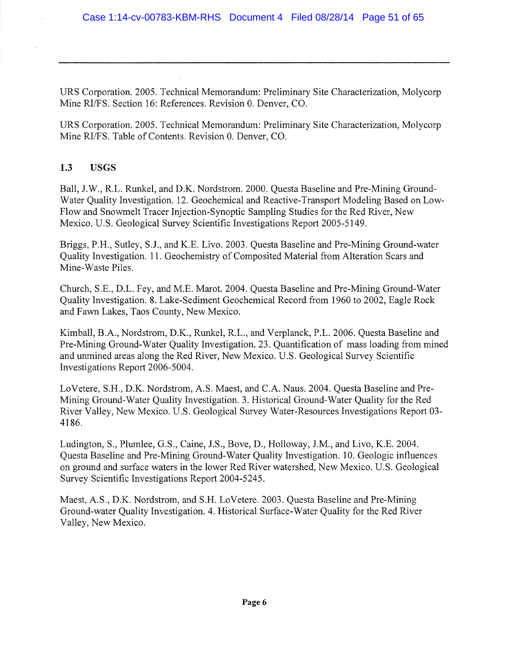URS Corporation. 2005. Technical Memorandum: Preliminary Site Characterization, Molycorp Mine RI/FS. Section 16: References. Revision 0. Denver, CO.

URS Corporation. 2005. Technical Memorandum: Preliminary Site Characterization, Molycorp Mine RI/FS. Table of Contents. Revision 0. Denver, CO.

### 1.3 USGS

Ball, J.W., R.L. Runkel, and D.K. Nordstrom. 2000. Questa Baseline and Pre-Mining Ground-Water Quality Investigation. 12. Geochemical and Reactive-Transport Modeling Based on Low-Flow and Snowmelt Tracer Injection-Synoptic Sampling Studies for the Red River, New Mexico. U.S. Geological Survey Scientific Investigations Report 2005-5149.

Briggs, P.H., Sutley, S.J., and K.E. Livo. 2003. Questa Baseline and Pre-Mining Ground-water Quality Investigation. 11. Geochemistry of Composited Material from Alteration Scars and Mine-Waste Piles.

Church, S.E., D.L. Fey, and M.E. Marot. 2004. Questa Baseline and Pre-Mining Ground-Water Quality Investigation. 8. Lake-Sediment Geochemical Record from 1960 to 2002, Eagle Rock and Fawn Lakes, Taos County, New Mexico.

Kimball, B.A., Nordstrom, D.K., Runkel, R.L., and Verplanck, P.L. 2006. Questa Baseline and Pre-Mining Ground-Water Quality Investigation. 23. Quantification of mass loading from mined and unmined areas along the Red River, New Mexico. U.S. Geological Survey Scientific Investigations Report 2006-5004.

LoVetere, S.H., D.K. Nordstrom, A.S. Maest, and C.A. Naus. 2004. Questa Baseline and Pre-Mining Ground-Water Quality Investigation. 3. Historical Ground-Water Quality for the Red. River Valley, New Mexico. U.S. Geological Survey Water-Resources Investigations Report 03- 4186.

Ludington, S., Plumlee, G.S., Caine, J.S., Bove, D., Holloway, J.M., and Livo, K.E. 2004. Questa Baseline and Pre-Mining Ground-Water Quality Investigation. 10. Geologic influences on ground and surface waters in the lower Red River watershed, New Mexico. U.S. Geological Survey Scientific Investigations Report 2004-5245.

Maest, A.S., D.K. Nordstrom, and S.H. LoVetere. 2003. Questa Baseline and Pre-Mining Ground-water Quality Investigation. 4. Historical Surface-Water Quality for the Red River Valley, New Mexico.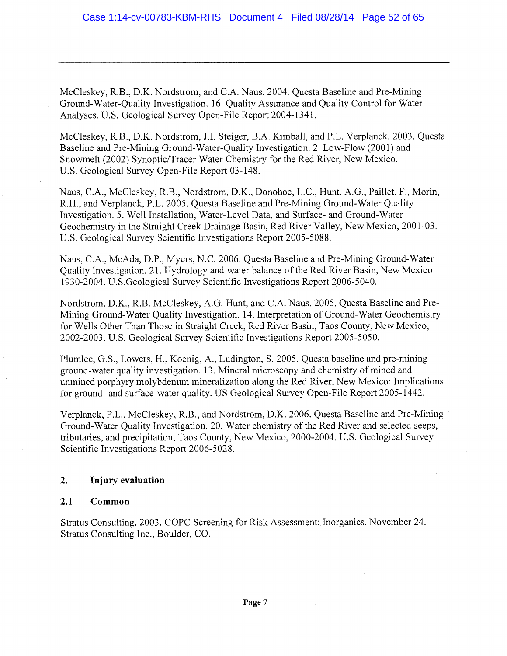McCleskey, R.B., D.K. Nordstrom, and C.A. Naus. 2004. Questa Baseline and Pre-Mining Ground-Water-Quality Investigation. 16. Quality Assurance and Quality Control for Water Analyses. U.S. Geological Survey Open-File Report 2004-1341.

McCleskey, R.B., D.K. Nordstrom, J.I. Steiger, B.A. Kimball, and P.L. Verplanck. 2003. Questa Baseline and Pre-Mining Ground-Water-Quality Investigation. 2. Low-Flow (2001) and Snowmelt (2002) Synoptic/Tracer Water Chemistry for the Red River, New Mexico. U.S. Geological Survey Open-File Report 03-148.

Naus, C.A., McCleskey, R.B., Nordstrom, D.K., Donohoe, L.C., Hunt. A.G., Paillet, F., Morin, R.H., and Verplanck, P.L. 2005. Questa Baseline and Pre-Mining Ground-Water Quality Investigation. 5. Well Installation, Water-Level Data, and Surface- and Ground-Water Geochemistry in the Straight Creek Drainage Basin, Red River Valley, New Mexico, 2001-03. U.S. Geological Survey Scientific Investigations Report 2005-5088.

Naus, C.A., McAda, D.P., Myers, N.C. 2006. Questa Baseline and Pre-Mining Ground-Water Quality Investigation. 21. Hydrology and water balance of the Red River Basin, New Mexico 1930-2004. U.S.Geological Survey Scientific Investigations Report 2006-5040.

Nordstrom, D.K., R.B. McCleskey, A.G. Hunt, and C.A. Naus. 2005. Questa Baseline and Pre-Mining Ground-Water Quality Investigation. 14. Interpretation of Ground-Water Geochemistry for Wells Other Than Those in Straight Creek, Red River Basin, Taos County, New Mexico, 2002-2003. U.S. Geological Survey Scientific Investigations Report 2005-5050.

Plumlee, G.S., Lowers, H., Koenig, A., Ludington, S. 2005. Questa baseline and pre-mining ground-water quality investigation. 13. Mineral microscopy and chemistry of mined and unmined porphyry molybdenum mineralization along the Red River, New Mexico: Implications for ground- and surface-water quality. US Geological Survey Open-File Report 2005-1442.

Verplanck, P.L., McCleskey, R.B., and Nordstrom, D.K. 2006. Questa Baseline and Pre-Mining Ground-Water Quality Investigation. 20. Water chemistry of the Red River and selected seeps, tributaries, and precipitation, Taos County, New Mexico, 2000-2004, U,S. Geological Survey Scientific Investigations Report 2006-5028.

### 2. Injury evaluation

### 2.1 Common

Stratus Consulting. 2003. COPC Screening for Risk Assessment:. Inorganics. November 24. Stratus Consulting Inc., Boulder, CO.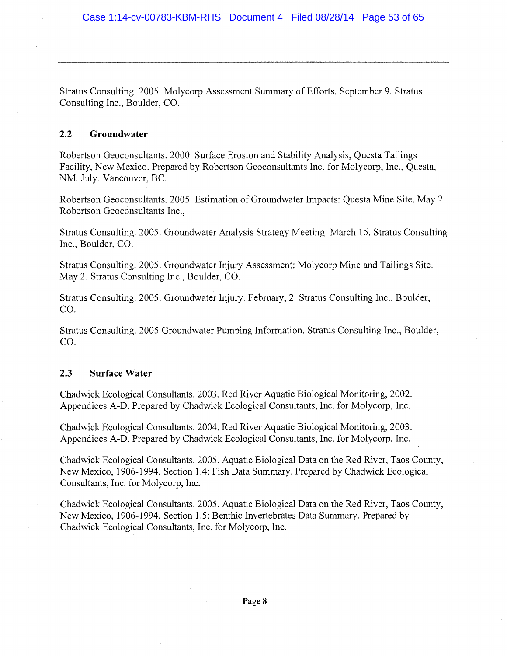Stratus Consulting. 2005. Molycorp Assessment Summary of Efforts. September 9. Stratus Consulting Inc., Boulder, CO.

### 2.2 Groundwater

Robertson Geoconsultants. 2000. Surface Erosion and Stability Analysis, Questa Tailings Facility, New Mexico. Prepared by Robertson Geoconsultants Inc. for Molycorp, Inc., Questa, NM. July. Vancouver, BC.

Robertson Geoconsultants. 2005. Estimation of Groundwater Impacts: Questa Mine Site. May 2. Robertson Geoconsultants Inc.,

Stratus Consulting. 2005. Groundwater Analysis Strategy Meeting. March 15. Stratus Consulting Inc., Boulder, CO.

Stratus Consulting. 2005. Groundwater Injury Assessment: Molycorp Mine and Tailings Site. May 2. Stratus Consulting Inc., Boulder, CO.

Stratus Consulting. 2005. Groundwater Injury. February, 2. Stratus Consulting Inc., Boulder, CO.

Stratus Consulting. 2005 Groundwater Pumping Information. Stratus Consulting Inc., Boulder, CO.

### 2,3 Surface Water

Chadwick Ecological Consultants. 2003. Red River Aquatic Biological Monitoring, 2002. Appendices A-D. Prepared by Chadwick Ecological Consultants, Inc. for Molycorp, Inc.

Chadwick Ecological Consultants. 2004. Red River Aquatic Biological Monitoring, 2003. Appendices A-D. Prepared by Chadwick Ecological Consultants, Inc. for Molycorp, Inc.

Chadwick Ecological Consultants. 2005. Aquatic Biological Data on the Red River, Taos County, New Mexico, 1906-1994. Section 1.4: Fish Data Summary. Prepared by Chadwick Ecological Consultants, Inc. for Molycorp, Inc.

Chadwick Ecological Consultants. 2005. Aquatic Biological Data on the Red River, Taos County, New Mexico, 1906-1994. Section 1.5: Benthic Invertebrates Data Summary. Prepared by Chadwick Ecological Consultants, Inc. for Molycorp, Inc.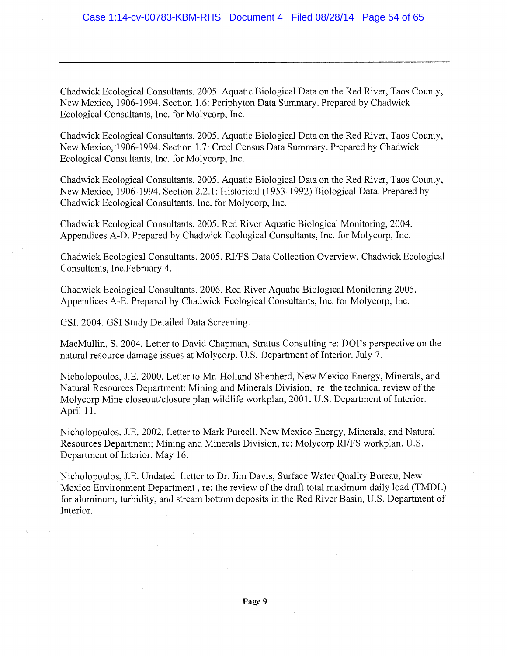Chadwick Ecological Consultants. 2005. Aquatic Biological Data on the Red River, Taos County, New Mexico, 1906-1994. Section 1.6: Periphyton Data Siunmary. Prepared by Chadwick Ecological Consultants, Inc. for Molycorp, Inc.

Chadwick Ecological Consultants. 2005. Aquatic Biological Data on the Red River, Taos County, New Mexico, 1906-1994. Section 1.7: Creel Census Data Summary. Prepared by Chadwick Ecological Consultants, Inc. for Molycorp, Inc.

Chadwick Ecological Consultants. 2005. Aquatic Biological Data on the Red River, Taos County, New Mexico, 1906-1994. Section 22.1: Historical (1953-1992) Biological Data. Prepared by Chadwick Ecological Consultants, Inc. for Molycorp, Inc.

Chadwick Ecological Consultants. 2005. Red River Aquatic Biological Monitoring, 2004. Appendices A-D. Prepared by Chadwick Ecological Consultants, Inc. for Molycorp, Inc.

Chadwick Ecological Consultants. 2005. RI/FS Data Collection Overview. Chadwick Ecological Consultants, Inc.February 4.

Chadwick Ecological Consultants. 2006. Red River Aquatic Biological Monitoring 2005. Appendices A-E. Prepared by Chadwick Ecological Consultants, Inc. for Molycorp, Inc.

GSI. 2004. GSI Study Detailed Data Screening.

MacMullin, S. 2004. Letter to David Chapman, Stratus Consulting re: DOI's perspective on the natural resource damage issues at Molycorp. U.S. Department of Interior. July 7.

Nicholopoulos, J.E. 2000. Letter to Mr. Holland Shepherd, New Mexico Energy, Minerals, and Natural Resources Department; Mining and Minerals Division, re: the technical review of the Molycorp Mine closeout/closure plan wildlife workplan, 2001. U.S. Department of Interior. April 11.

Nicholopoulos, J.E. 2002. Letter to Mark Purcell, New Mexico Energy, Minerals, and Natural Resources Department; Mining and Minerals Division, re: Molycorp RI/FS workplan. U.S. Department of Interior. May 16.

Nicholopoulos, J.E. Undated Letter to Dr. Jim Davis, Surface Water Quality Bureau, New Mexico Environment Department , re: the review of the draft total maximum daily load (TMDL) for aluminum, turbidity, and stream bottom deposits in the Red River Basin, U.S. Department of Interior.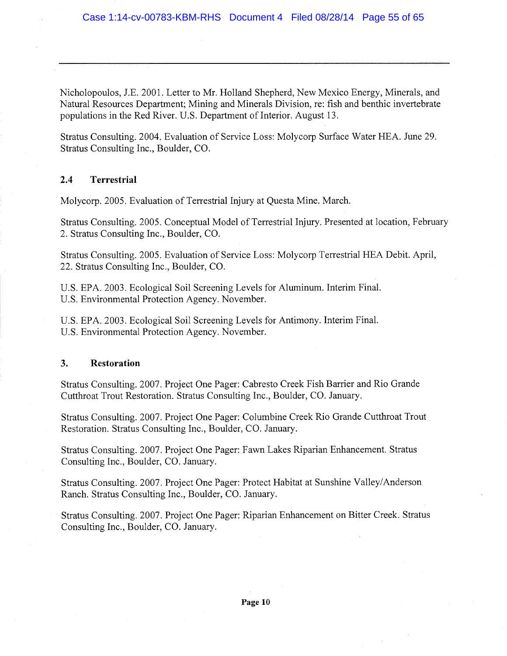Nicholopoulos, J.E. 2001. Letter to Mr. Holland Shepherd, New Mexico Energy, Minerals, and Natural Resources Department; Mining and Minerals Division, re: fish and benthic invertebrate populations in the Red River. U.S. Department of Interior. August 13.

Stratus Consulting. 2004. Evaluation of Service Loss: Molycorp Surface Water HEA. June 29. Stratus Consulting Inc., Boulder, CO.

### 2.4 Terrestrial

Molycorp. 2005. Evaluation of Terrestrial Injury at Questa Mine. March.

Stratus Consulting. 2005. Conceptual Model of Terrestrial Injury. Presented at location, February 2. Stratus Consulting Inc., Boulder, CO.

Stratus Consulting. 2005. Evaluation of Service Loss: Molycorp Terrestrial HEA Debit. April, 22. Stratus Consulting Inc., Boulder, CO.

U.S. EPA. 2003. Ecological Soil Screening Levels for Aluminum. Interim Final. U.S. Environmental Protection Agency. November.

U.S. EPA. 2003. Ecological Soil Screening Levels for Antimony. Interim Final. U.S. Environmental Protection Agency. November.

### 3. Restoration

Stratus Consulting. 2007. Project One Pager: Cabresto Creek Fish Barrier and Rio Grande Cutthroat Trout Restoration. Stratus Consulting Inc., Boulder, CO. January.

Stratus Consulting. 2007. Project One Pager: Columbine Creek Rio Grande Cutthroat Trout Restoration. Stratus Consulting Inc., Boulder, CO. January.

Stratus Consulting. 2007. Project One Pager: Fawn Lakes Riparian Enhancement. Stratus Consulting Inc., Boulder, CO. January.

Stratus Consulting. 2007. Project One Pager: Protect Habitat at Sunshine Valley/Anderson Ranch. Stratus Consulting Inc., Boulder, CO. January.

Stratus Consulting. 2007. Project One Pager: Riparian Enhancement on Bitter Creek. Stratus Consulting Inc., Boulder, CO. January.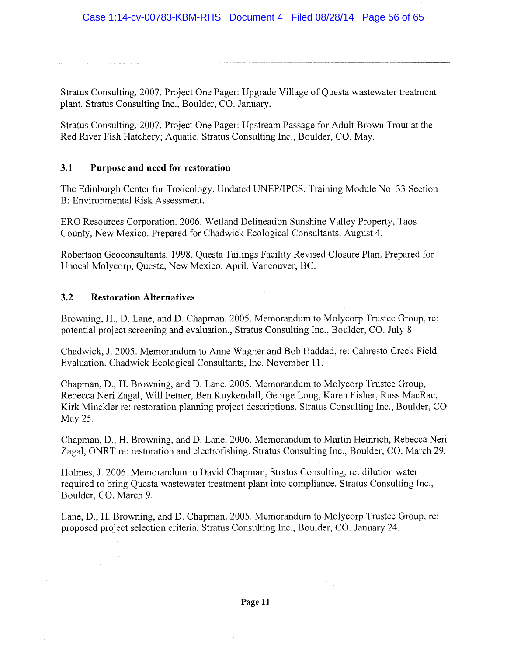Stratus Consulting. 2007. Project One Pager: Upgrade Village of Questa wastewater treatment plant. Stratus Consulting Inc., Boulder, CO. January.

Stratus Consulting. 2007. Project One Pager: Upstream Passage for Adult Brown Trout at the Red River Fish Hatchery; Aquatic. Stratus Consulting Inc., Boulder, CO. May.

### 3.1 Purpose and need for restoration

The Edinburgh Center for Toxicology. Undated UNEP/IPCS. Training Module No. 33 Section B: Environmental Risk Assessment.

ERO Resources Corporation. 2006. Wetland Delineation Sunshine Valley Property, Taos County, New Mexico. Prepared for Chadwick Ecological Consultants. August 4.

Robertson Geoconsultants. 1998. Questa Tailings Facility Revised Closure Plan. Prepared for Unocal Molycorp, Questa, New Mexico. April. Vancouver, BC.

### 3,2 Restoration Alternatives

Browning, H., D. Lane, and D. Chapman. 2005. Memorandum to Molycorp Trustee Group, re: potential project screening and evaluation., Stratus Consulting Inc., Boulder, CO. July 8.

Chadwick, J. 2005. Memorandum to Anne Wagner and Bob Haddad, re: Cabresto Creek Field Evaluation. Chadwick Ecological Consultants, Inc. November 11.

Chapman, D., H. Browning, and D. Lane. 2005. Memorandum to Molycorp Trustee Group, Rebecca Neri Zagal, Will Fetner, Ben Kuykendall, George Long, Karen Fisher, Russ MacRae, Kirk Minckler re: restoration planning project descriptions. Stratus Consulting Inc., Boulder, CO. May 25.

Chapman, D., H. Browning, and D. Lane. 2006. Memorandum to Martin Heinrich, Rebecca Neri Zagal, ONRT re: restoration and electrofishing. Stratus Consulting Inc., Boulder, CO. March 29.

Holmes, J. 2006. Memorandum to David Chapman, Stratus Consulting, re: dilution water required to bring Questa wastewater treatment plant into compliance. Stratus Consulting Inc., Boulder, CO. March 9.

Lane, D., H. Browning, and D. Chapman. 2005. Memorandum to Molycorp Trustee Group, re; proposed project selection criteria. Stratus Consulting Inc., Boulder, CO. January 24.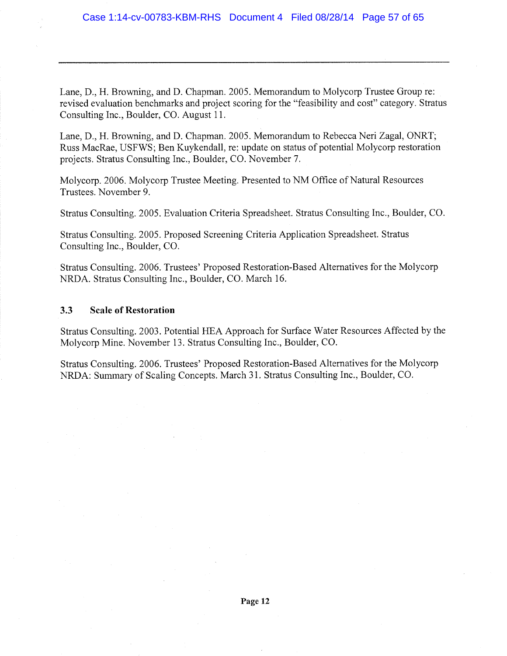Lane, D., H. Browning, and D. Chapman. 2005. Memorandum to Molycorp Trustee Group re: revised evaluation benchmarks and project scoring for the "feasibility and cost" category. Stratus Consulting Inc., Boulder, CO. August 11.

Lane, D., H. Browning, and D. Chapman. 2005. Memorandum to Rebecca Neri Zagal, ONRT; Russ MacRae, USFWS; Ben Kuykendall, re: update on status of potential Molycorp restoration projects. Stratus Consulting Inc., Boulder, CO. November 7.

Molycorp. 2006. Molycorp Trustee Meeting. Presented to NM Office of Natural Resources Trustees. November 9.

Stratus Consulting. 2005. Evaluation Criteria Spreadsheet. Stratus Consulting Inc., Boulder, CO.

Stratus Consulting. 2005. Proposed Screening Criteria Application Spreadsheet. Stratus Consulting Inc., Boulder, CO.

Stratus Consulting. 2006. Trustees' Proposed Restoration-Based Alternatives for the Molycorp NRDA. Stratus Consulting Inc., Boulder, CO. March 16.

### 3.3 Scale of Restoration

Stratus Consulting. 2003. Potential HEA Approach for Surface Water Resources Affected by the Molycorp Mine. November 13. Stratus Consulting Inc., Boulder, CO.

Stratus Consulting. 2006. Trustees' Proposed Restoration-Based Alternatives for the Molycorp NRDA: Summary of Scaling Concepts. March 31. Stratus Consulting Inc., Boulder, CO.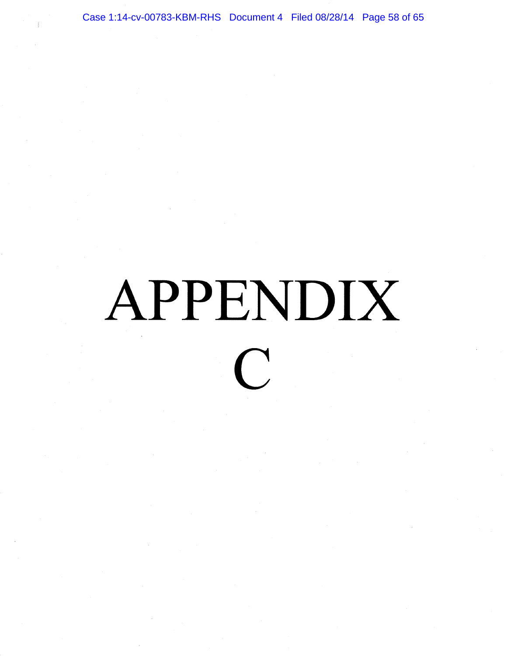Case 1:14-cv-00783-KBM-RHS Document 4 Filed 08/28/14 Page 58 of 65

### APPENDIX  $\bigcap$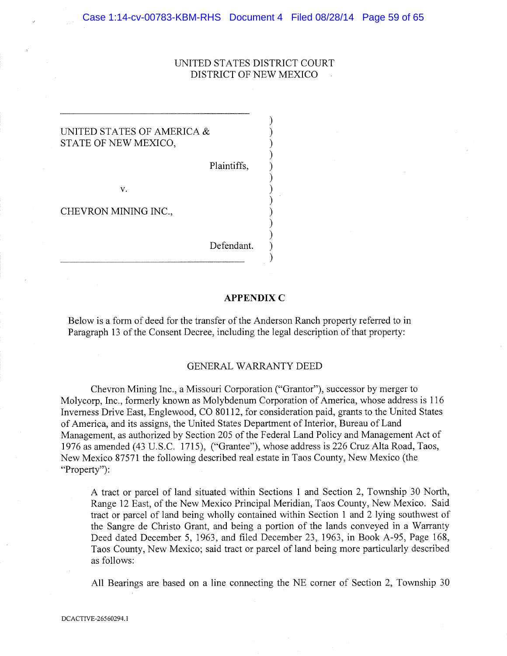### UNITED STATES DISTRICT COURT DISTRICT OF NEW MEXICO

### UNITED STATES OF AMERICA & STATE OF NEW MEXICO,

Plaintiffs,

 $V_{-}$ 

CHEVRON MINING INC.,

Defendant.

### APPENDIX C

Below is a form of deed for the transfer of the Anderson Ranch property referred to in Paragraph 13 of the Consent Decree, including the legal description of that property:

### GENERAL WARRANTY DEED

Chevron Mining Inc., a Missouri Corporation ("Grantor"), successor by merger to Molycorp, Inc., formerly known as Molybdenum Corporation of America, whose address is 116 Inverness Drive East, Englewood, CO 80112, for consideration paid, grants to the United States of America, and its assigns, the United States Department of Interior, Bureau of Land Management, as authorized by Section 205 of the Federal Land Policy and Management Act of 1976 as amended (43 U.S.C. 1715), ("Grantee"), whose address is 226 Cruz Alta Road, Taos, New Mexico 87571 the following described real estate in Taos County, New Mexico (the "Property"):

A tract or parcel of land situated within Sections 1 and Section 2, Township 30 North, Range 12 East, of the New Mexico Principal Meridian, Taos County, New Mexico. Said tract or parcel of land being wholly contained within Section 1 and 2 lying southwest of the Sangre de Christo Grant, and being a portion of the lands conveyed in a Warranty Deed dated December 5, 1963, and filed December 23, 1963, in Book A-95, Page 168, Taos County, New Mexico; said tract or parcel of land being more particularly described as follows:

All Bearings are based on a line connecting the NE corner of Section 2, Township 30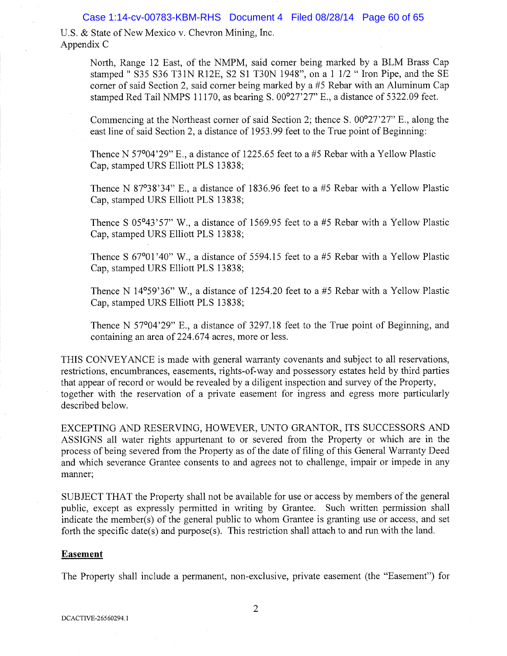### Case 1:14-cv-00783-KBM-RHS Document 4 Filed 08/28/14 Page 60 of 65

U.S. & State of New Mexico v. Chevron Mining, Inc. Appendix C

> North, Range 12 East, of the NMPM, said corner being marked by a BLM Brass Cap stamped " S35 S36 T31N R12E, S2 S1 T30N 1948", on a 1 1/2 " Iron Pipe, and the SE corner of said Section 2, said corner being marked by a #5 Rebar with an Aluminum Cap stamped Red Tail NMPS 11170, as bearing S. 00°27'27" E., a distance of 5322.09 feet.

> Commencing at the Northeast corner of said Section 2; thence S. 00°27'27" E., along the east line of said Section 2, a distance of 1953.99 feet to the True point of Beginning:

Thence N 57°04'29" E., a distance of 1225.65 feet to a #5 Rebar with a Yellow Plastic Cap, stamped URS Elliott PLS 13838;

Thence N 87°38'34" E., a distance of 1836.96 feet to a #5 Rebar with a Yellow Plastic Cap, stamped URS Elliott PLS 13838;

Thence S 05°43'57" W., a distance of 1569.95 feet to a #5 Rebar with a Yellow Plastic Cap, stamped URS Elliott PLS 13838;

Thence S  $67^{\circ}01'40''$  W., a distance of 5594.15 feet to a #5 Rebar with a Yellow Plastic Cap, stamped URS Elliott PLS 13838;

Thence N 14°59'36" W., a distance of 1254.20 feet to a #5 Rebar with a Yellow Plastic Cap, stamped URS Elliott PLS 13838;

Thence N 57°04'29" E., a distance of 3297.18 feet to the True point of Beginning, and containing an area of 224.674 acres, more or less.

THIS CONVEYANCE is made with general warranty covenants and subject to all reservations, restrictions, encumbrances, easements, rights-of-way and possessory estates held by third parties that appear of record or would be revealed by a diligent inspection and survey of the Property, together with the reservation of a private easement for ingress and egress more particularly described below.

EXCEPTING AND RESERVING, HOWEVER, UNTO GRANTOR, ITS SUCCESSORS AND ASSIGNS all water rights appurtenant to or severed from the Property or which are in the process of being severed from the Property as of the date of filing of this General Warranty Deed and which severance Grantee consents to and agrees not to challenge, impair or impede in any manner;

SUBJECT THAT the Property shall not be available for use or access by members of the general public, except as expressly permitted in writing by Grantee. Such written permission shall indicate the member(s) of the general public to whom Grantee is granting use or access, and set forth the specific date(s) and purpose(s). This restriction shall attach to and run with the land.

### Easement

The Property shall include a permanent, non-exclusive, private easement {the "Easement") for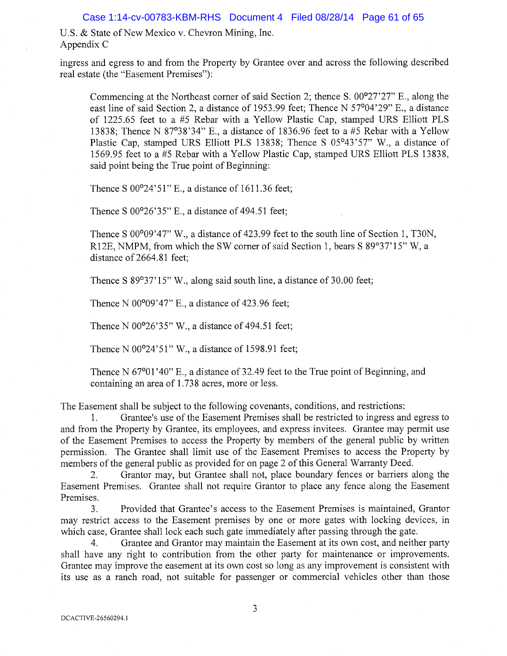U.S. & State of New Mexico v. Chevron Mining, Inc. Appendix C

ingress and egress to and from the Property by Grantee over and across the following described real estate {the "Easement Premises"):

Commencing at the Northeast corner of said Section 2; thence S. 00°27'27" E., along the east line of said Section 2, a distance of 1953.99 feet; Thence N 57°04'29" E., a distance of 1225.65 feet to a #5 Rebar with a Yellow Plastic Cap, stamped URS Elliott PLS 13838; Thence N 87°38'34" E., a distance of 1836.96 feet to a #5 Rebar with a Yellow Plastic Cap, stamped URS Elliott PLS 13838; Thence S 05°43'57" W., a distance of 1569.95 feet to a #5 Rebax with a Yellow Plastic Cap, stamped URS Elliott PLS 13838, said point being the True point of Beginning:

Thence S 00°24'51" E., a distance of 1611.36 feet;

Thence S 00°26'35" E., a distance of 494.51 feet;

Thence S 00°09'47" W., a distance of 423.99 feet to the south line of Section 1, T30N, R12E, NMPM, from which the SW corner of said Section 1, bears S 89°37' 15" W, a distance of 2664.81 feet;

Thence S 89°37'15" W., along said south line, a distance of 30.00 feet;

Thence N 00°09'47" E., a distance of 423.96 feet;

Thence N 00°26'35" W., a distance of 494.51 feet;

Thence N 00°24'51" W., a distance of 1598.91 feet;

Thence N 67<sup>o</sup>01'40" E., a distance of 32.49 feet to the True point of Beginning, and containing an area of 1.738 acres, more or less.

The Easement shall be subject to the following covenants, conditions, and restrictions:

1. Grantee's use of the Easement Premises shall be restricted to ingress and egress to and from the Property by Grantee, its employees, and express invitees. Grantee may permit use of the Easement Premises to access the Property by members of the general public by written permission. The Grantee shall limit use of the Easement Premises to access the Property by members of the general public as provided for on page 2 of this General Warranty Deed.

2. Grantor may, but Grantee shall not, place boundary fences or barriers along the Easement Premises.. Grantee shall not require Grantor to place any fence along the Easement Premises.

3. Provided that Grantee's access to the Easement Premises is maintained, Grantor may restrict access to the Easement premises by one or more gates with locking devices, in which case, Grantee shall lock each such gate immediately after passing through the gate.

4. Grantee and Grantor may maintain the Easement at its own cost, and neither party shall have any right to contribution from the other party for maintenance or improvements. Grantee may improve the easement at its own cost so long as any improvement is consistent with its use as a ranch road, not suitable for passenger or commercial vehicles other than those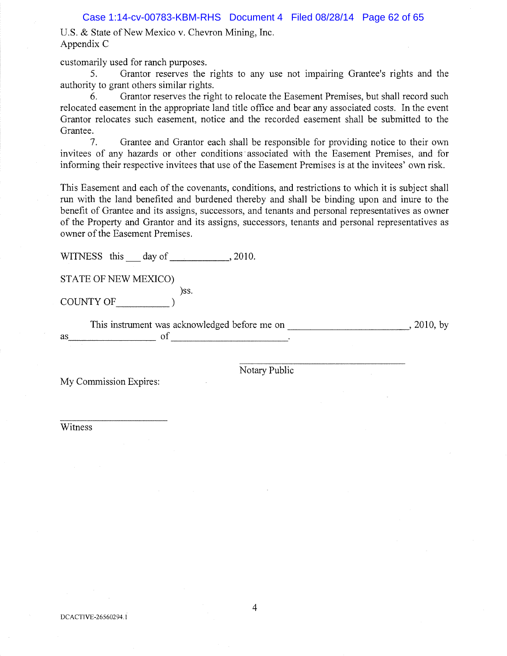Case 1:14-cv-00783-KBM-RHS Document 4 Filed 08/28/14 Page 62 of 65

U.S. & State of New Mexico v. Chevron Mining, Inc. Appendix C

customarily used for ranch purposes.

5. Grantor reserves the rights to any use not impairing Grantee's rights and the authority to grant others similar rights.

6. Grantor reserves the right to relocate the Easement Premises, but shall record such relocated easement in the appropriate land title office and bear any associated costs. In the event Grantor relocates such easement, notice and the recorded easement shall be submitted to the Grantee.

7. Grantee and Grantor each shall be responsible for providing notice to their own invitees of any hazards or other conditions 'associated with the Easement Premises, and for informing their respective invitees that use of the Easement Premises is at the invitees' own risk.

This Easement and each of the covenants, conditions, and restrictions to which it is subject shall run with the land benefited and burdened thereby and shall be binding upon and inure to the benefit of Grantee and its assigns, successors, and tenants and personal representatives as owner of the Property and Grantor and its assigns, successors, tenants and personal representatives as owner of the Easement Premises.

WITNESS this day of 3010.

STATE OF NEW MEXICO)

)ss. COUNTY OF )

This instrument was acknowledged before me on , 2010, by , 2010, by  $\qquad \qquad \text{as} \qquad \qquad \text{of} \qquad \qquad \text{.}$ 

Notary Public

My Commission Expires:

Witness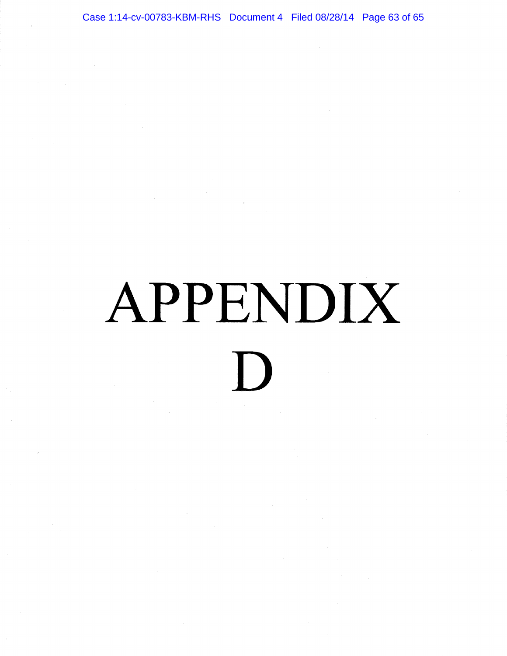Case 1:14-cv-00783-KBM-RHS Document 4 Filed 08/28/14 Page 63 of 65

# APPENDIX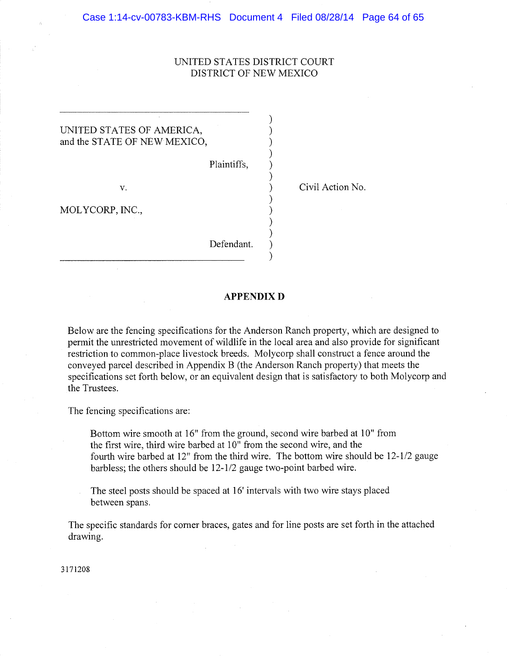### UNITED STATES DISTRICT COURT DISTRICT OF NEW MEXICO

 $\lambda$ ſ

### UNITED STATES OF AMERICA, and the STATE OF NEW MEXICO,

Plaintiffs,

MOLYCORP, INC.,

Defendant.

v. Civil Action No.

### APPENDIX D

Below are the fencing specifications for the Anderson Ranch property, which are designed to permit the unrestricted movement of wildlife in the local area and also provide for significant restriction to common-place livestock breeds.. Molycorp shall construct a fence around the conveyed parcel described in Appendix B (the Anderson Ranch property) that meets the specifications set forth below, or an equivalent design that is satisfactory to both Molycorp and the Trustees.

The fencing specifications are:

Bottom wire smooth at 16" from the ground, second wire barbed at 10" from the first wire, third wire barbed at 10" from the second wire, and the fourth wire barbed at  $12$ " from the third wire. The bottom wire should be  $12-1/2$  gauge barbless; the others should be 12-1/2 gauge two-point barbed wire.

The steel posts should be spaced at 16' intervals with two wire stays placed between spans.

The specific standards for corner braces, gates and for line posts are set forth in the attached drawing.